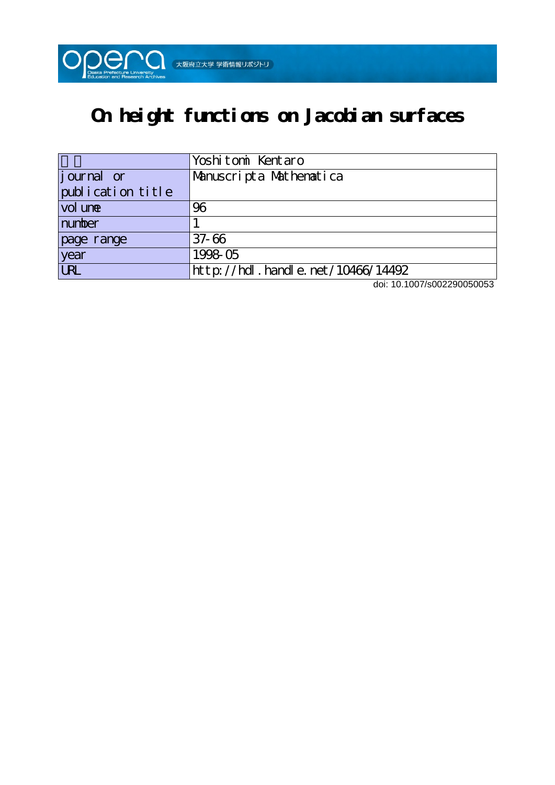

# **On height functions on Jacobian surfaces**

|                   | Yoshitomi Kentaro                             |
|-------------------|-----------------------------------------------|
| journal or        | Manuscripta Mathematica                       |
| publication title |                                               |
| vol une           | 96                                            |
| number            |                                               |
| page range        | $37 - 66$                                     |
| year              | 1998-05                                       |
| <b>LRL</b>        | $ht$ p: //hdl. handle. net / 10466/14492<br>. |

doi: 10.1007/s002290050053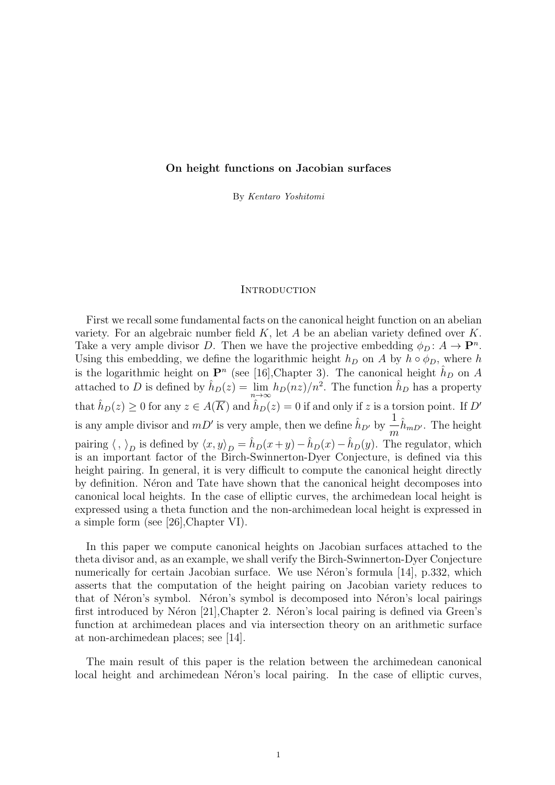# **On height functions on Jacobian surfaces**

By *Kentaro Yoshitomi*

## **INTRODUCTION**

First we recall some fundamental facts on the canonical height function on an abelian variety. For an algebraic number field *K*, let *A* be an abelian variety defined over *K*. Take a very ample divisor *D*. Then we have the projective embedding  $\phi_D: A \to \mathbf{P}^n$ . Using this embedding, we define the logarithmic height  $h_D$  on *A* by  $h \circ \phi_D$ , where  $h$ is the logarithmic height on  $\mathbf{P}^n$  (see [16], Chapter 3). The canonical height  $\hat{h}_D$  on *A* attached to *D* is defined by  $\hat{h}_D(z) = \lim_{n \to \infty} h_D(nz)/n^2$ . The function  $\hat{h}_D$  has a property that  $\hat{h}_D(z) \ge 0$  for any  $z \in A(\overline{K})$  and  $\hat{h}_D(z) = 0$  if and only if *z* is a torsion point. If *D'* is any ample divisor and  $mD'$  is very ample, then we define  $\hat{h}_{D'}$  by  $\frac{1}{m}\hat{h}_{mD'}$ . The height pairing  $\langle , \rangle_D$  is defined by  $\langle x, y \rangle_D = \hat{h}_D(x+y) - \hat{h}_D(x) - \hat{h}_D(y)$ . The regulator, which is an important factor of the Birch-Swinnerton-Dyer Conjecture, is defined via this height pairing. In general, it is very difficult to compute the canonical height directly by definition. Neron and Tate have shown that the canonical height decomposes into canonical local heights. In the case of elliptic curves, the archimedean local height is expressed using a theta function and the non-archimedean local height is expressed in a simple form (see [26],Chapter VI).

In this paper we compute canonical heights on Jacobian surfaces attached to the theta divisor and, as an example, we shall verify the Birch-Swinnerton-Dyer Conjecture numerically for certain Jacobian surface. We use Néron's formula  $[14]$ , p.332, which asserts that the computation of the height pairing on Jacobian variety reduces to that of Néron's symbol. Néron's symbol is decomposed into Néron's local pairings first introduced by Néron [21], Chapter 2. Néron's local pairing is defined via Green's function at archimedean places and via intersection theory on an arithmetic surface at non-archimedean places; see [14].

The main result of this paper is the relation between the archimedean canonical local height and archimedean Néron's local pairing. In the case of elliptic curves,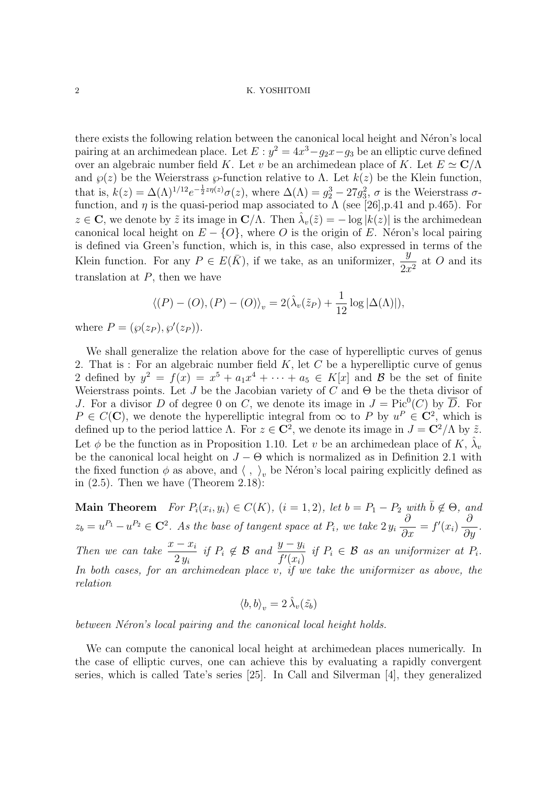there exists the following relation between the canonical local height and Néron's local pairing at an archimedean place. Let  $E : y^2 = 4x^3 - g_2x - g_3$  be an elliptic curve defined over an algebraic number field *K*. Let *v* be an archimedean place of *K*. Let  $E \simeq \mathbb{C}/\Lambda$ and  $\wp(z)$  be the Weierstrass  $\wp$ -function relative to  $\Lambda$ . Let  $k(z)$  be the Klein function, that is,  $k(z) = \Delta(\Lambda)^{1/12} e^{-\frac{1}{2}z\eta(z)} \sigma(z)$ , where  $\Delta(\Lambda) = g_2^3 - 27g_3^2$ ,  $\sigma$  is the Weierstrass  $\sigma$ function, and  $\eta$  is the quasi-period map associated to  $\Lambda$  (see [26], p.41 and p.465). For  $z \in \mathbf{C}$ , we denote by  $\tilde{z}$  its image in  $\mathbf{C}/\Lambda$ . Then  $\hat{\lambda}_v(\tilde{z}) = -\log |k(z)|$  is the archimedean canonical local height on  $E - \{O\}$ , where *O* is the origin of *E*. Néron's local pairing is defined via Green's function, which is, in this case, also expressed in terms of the Klein function. For any  $P \in E(\bar{K})$ , if we take, as an uniformizer,  $\frac{y}{2x^2}$  at *O* and its translation at *P*, then we have

$$
\langle (P) - (O), (P) - (O) \rangle_v = 2(\hat{\lambda}_v(\tilde{z}_P) + \frac{1}{12} \log |\Delta(\Lambda)|),
$$

where  $P = (\wp(z_P), \wp'(z_P)).$ 

We shall generalize the relation above for the case of hyperelliptic curves of genus 2. That is : For an algebraic number field *K*, let *C* be a hyperelliptic curve of genus 2 defined by  $y^2 = f(x) = x^5 + a_1x^4 + \cdots + a_5 \in K[x]$  and *B* be the set of finite Weierstrass points. Let *J* be the Jacobian variety of *C* and Θ be the theta divisor of *J*. For a divisor *D* of degree 0 on *C*, we denote its image in  $J = Pic^0(C)$  by  $\overline{D}$ . For  $P \in C(\mathbb{C})$ , we denote the hyperelliptic integral from  $\infty$  to P by  $u^P \in \mathbb{C}^2$ , which is defined up to the period lattice  $\Lambda$ . For  $z \in \mathbb{C}^2$ , we denote its image in  $J = \mathbb{C}^2/\Lambda$  by  $\tilde{z}$ . Let  $\phi$  be the function as in Proposition 1.10. Let *v* be an archimedean place of *K*,  $\hat{\lambda}_v$ be the canonical local height on  $J - \Theta$  which is normalized as in Definition 2.1 with the fixed function  $\phi$  as above, and  $\langle , \rangle_v$  be Néron's local pairing explicitly defined as in  $(2.5)$ . Then we have (Theorem 2.18):

**Main Theorem** For  $P_i(x_i, y_i) \in C(K)$ ,  $(i = 1, 2)$ , let  $b = P_1 - P_2$  with  $\overline{b} \notin \Theta$ , and  $z_b = u^{P_1} - u^{P_2} \in \mathbb{C}^2$ . As the base of tangent space at  $P_i$ , we take  $2y_i$ *∂ ∂x*  $= f'(x_i)$ *∂ ∂y . Then we can take*  $\frac{x - x_i}{2}$ 2 *y<sup>i</sup> if*  $P_i \notin \mathcal{B}$  *and*  $\frac{y - y_i}{f'(x_i)}$ *if*  $P_i \in \mathcal{B}$  *as an uniformizer at*  $P_i$ *. In both cases, for an archimedean place v, if we take the uniformizer as above, the relation*

$$
\langle b,b\rangle_v=2\,\hat{\lambda}_v(\tilde{z_b})
$$

*between Néron's local pairing and the canonical local height holds.* 

We can compute the canonical local height at archimedean places numerically. In the case of elliptic curves, one can achieve this by evaluating a rapidly convergent series, which is called Tate's series [25]. In Call and Silverman [4], they generalized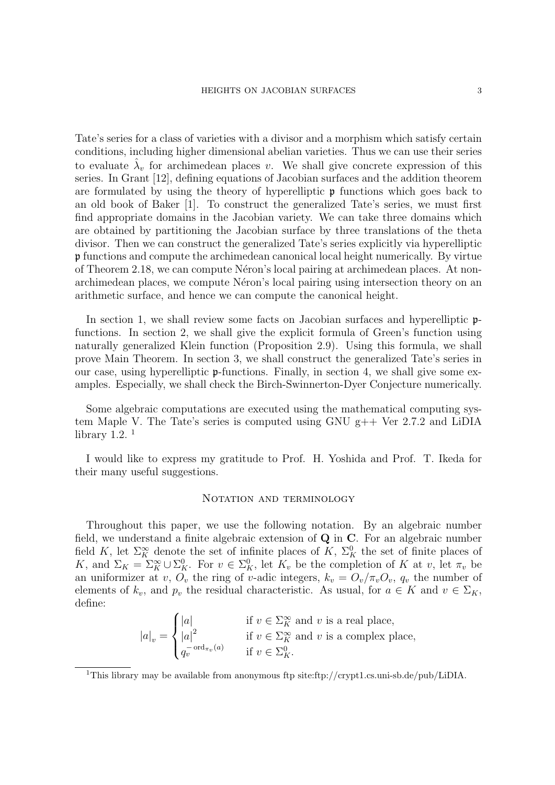Tate's series for a class of varieties with a divisor and a morphism which satisfy certain conditions, including higher dimensional abelian varieties. Thus we can use their series to evaluate  $\hat{\lambda}_v$  for archimedean places *v*. We shall give concrete expression of this series. In Grant [12], defining equations of Jacobian surfaces and the addition theorem are formulated by using the theory of hyperelliptic  $\mathfrak p$  functions which goes back to an old book of Baker [1]. To construct the generalized Tate's series, we must first find appropriate domains in the Jacobian variety. We can take three domains which are obtained by partitioning the Jacobian surface by three translations of the theta divisor. Then we can construct the generalized Tate's series explicitly via hyperelliptic p functions and compute the archimedean canonical local height numerically. By virtue of Theorem 2.18, we can compute Néron's local pairing at archimedean places. At nonarchimedean places, we compute Néron's local pairing using intersection theory on an arithmetic surface, and hence we can compute the canonical height.

In section 1, we shall review some facts on Jacobian surfaces and hyperelliptic  $\mathfrak{p}$ functions. In section 2, we shall give the explicit formula of Green's function using naturally generalized Klein function (Proposition 2.9). Using this formula, we shall prove Main Theorem. In section 3, we shall construct the generalized Tate's series in our case, using hyperelliptic p-functions. Finally, in section 4, we shall give some examples. Especially, we shall check the Birch-Swinnerton-Dyer Conjecture numerically.

Some algebraic computations are executed using the mathematical computing system Maple V. The Tate's series is computed using GNU g++ Ver 2.7.2 and LiDIA library 1.2. $<sup>1</sup>$ </sup>

I would like to express my gratitude to Prof. H. Yoshida and Prof. T. Ikeda for their many useful suggestions.

#### NOTATION AND TERMINOLOGY

Throughout this paper, we use the following notation. By an algebraic number field, we understand a finite algebraic extension of **Q** in **C**. For an algebraic number field *K*, let  $\Sigma_K^{\infty}$  denote the set of infinite places of *K*,  $\Sigma_K^0$  the set of finite places of *K*, and  $\Sigma_K = \Sigma_K^{\infty} \cup \Sigma_K^0$ . For  $v \in \Sigma_K^0$ , let  $K_v$  be the completion of *K* at *v*, let  $\pi_v$  be an uniformizer at *v*,  $O_v$  the ring of *v*-adic integers,  $k_v = O_v / \pi_v O_v$ ,  $q_v$  the number of elements of  $k_v$ , and  $p_v$  the residual characteristic. As usual, for  $a \in K$  and  $v \in \Sigma_K$ , define:

$$
|a|_v = \begin{cases} |a| & \text{if } v \in \Sigma_K^{\infty} \text{ and } v \text{ is a real place,} \\ |a|^2 & \text{if } v \in \Sigma_K^{\infty} \text{ and } v \text{ is a complex place,} \\ q_v^{-\text{ord}_{\pi_v}(a)} & \text{if } v \in \Sigma_K^0. \end{cases}
$$

<sup>&</sup>lt;sup>1</sup>This library may be available from anonymous ftp site:ftp://crypt1.cs.uni-sb.de/pub/LiDIA.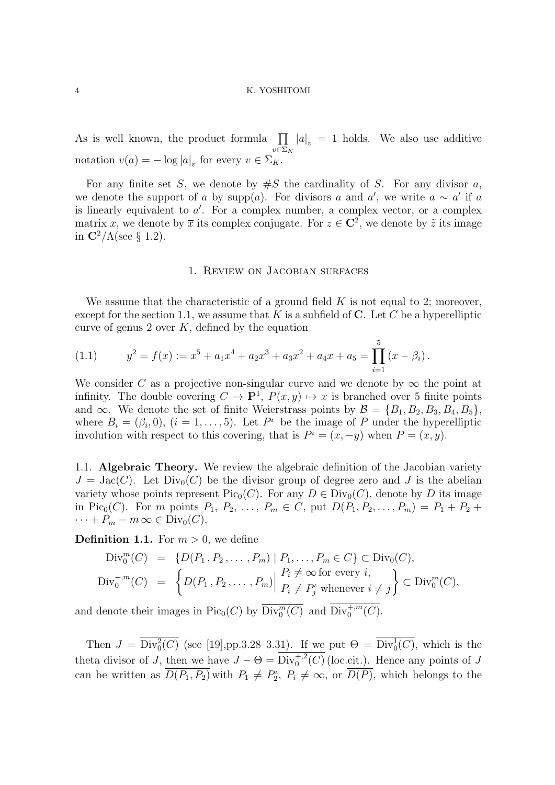As is well known, the product formula ∏ *v∈*Σ*<sup>K</sup>*  $|a|_v = 1$  holds. We also use additive notation  $v(a) = -\log |a|_v$  for every  $v \in \Sigma_K$ .

For any finite set *S*, we denote by  $\#S$  the cardinality of *S*. For any divisor *a*, we denote the support of *a* by supp $(a)$ . For divisors *a* and *a'*, we write  $a \sim a'$  if *a* is linearly equivalent to *a ′* . For a complex number, a complex vector, or a complex matrix *x*, we denote by  $\bar{x}$  its complex conjugate. For  $z \in \mathbb{C}^2$ , we denote by  $\tilde{z}$  its image in  $\mathbb{C}^2/\Lambda$ (see § 1.2).

## 1. Review on Jacobian surfaces

We assume that the characteristic of a ground field *K* is not equal to 2; moreover, except for the section 1.1, we assume that  $K$  is a subfield of  $C$ . Let  $C$  be a hyperelliptic curve of genus 2 over *K*, defined by the equation

(1.1) 
$$
y^2 = f(x) := x^5 + a_1 x^4 + a_2 x^3 + a_3 x^2 + a_4 x + a_5 = \prod_{i=1}^5 (x - \beta_i).
$$

We consider *C* as a projective non-singular curve and we denote by  $\infty$  the point at infinity. The double covering  $C \to \mathbf{P}^1$ ,  $P(x, y) \mapsto x$  is branched over 5 finite points and ∞. We denote the set of finite Weierstrass points by  $\mathcal{B} = \{B_1, B_2, B_3, B_4, B_5\}$ , where  $B_i = (\beta_i, 0), (i = 1, \ldots, 5)$ . Let  $P^i$  be the image of P under the hyperelliptic involution with respect to this covering, that is  $P^i = (x, -y)$  when  $P = (x, y)$ .

1.1. **Algebraic Theory.** We review the algebraic definition of the Jacobian variety  $J = \text{Jac}(C)$ . Let  $\text{Div}_0(C)$  be the divisor group of degree zero and *J* is the abelian variety whose points represent  $Pic_0(C)$ . For any  $D \in Div_0(C)$ , denote by *D* its image in Pic<sub>0</sub>(*C*). For *m* points  $P_1, P_2, ..., P_m \in C$ , put  $D(P_1, P_2, ..., P_m) = P_1 + P_2 +$  $\cdots + P_m - m \in \text{Div}_0(C).$ 

**Definition 1.1.** For  $m > 0$ , we define

$$
\text{Div}_{0}^{m}(C) = \left\{ D(P_1, P_2, \dots, P_m) \mid P_1, \dots, P_m \in C \right\} \subset \text{Div}_{0}(C),
$$
\n
$$
\text{Div}_{0}^{+,m}(C) = \left\{ D(P_1, P_2, \dots, P_m) \middle| \begin{array}{l} P_i \neq \infty \text{ for every } i, \\ P_i \neq P_j^t \text{ whenever } i \neq j \end{array} \right\} \subset \text{Div}_{0}^{m}(C),
$$

and denote their images in Pic<sub>0</sub>(*C*) by  $\overline{\text{Div}_{0}^{m}(C)}$  and  $\overline{\text{Div}_{0}^{+,m}(C)}$ .

Then  $J = Div_0^2(C)$  (see [19],pp.3.28–3.31). If we put  $\Theta = Div_0^1(C)$ , which is the theta divisor of *J*, then we have  $J - \Theta = Div_0^{+,2}(C)$  (loc.cit.). Hence any points of *J* can be written as  $\overline{D(P_1, P_2)}$  with  $P_1 \neq P_2^{\iota}$ ,  $P_i \neq \infty$ , or  $\overline{D(P)}$ , which belongs to the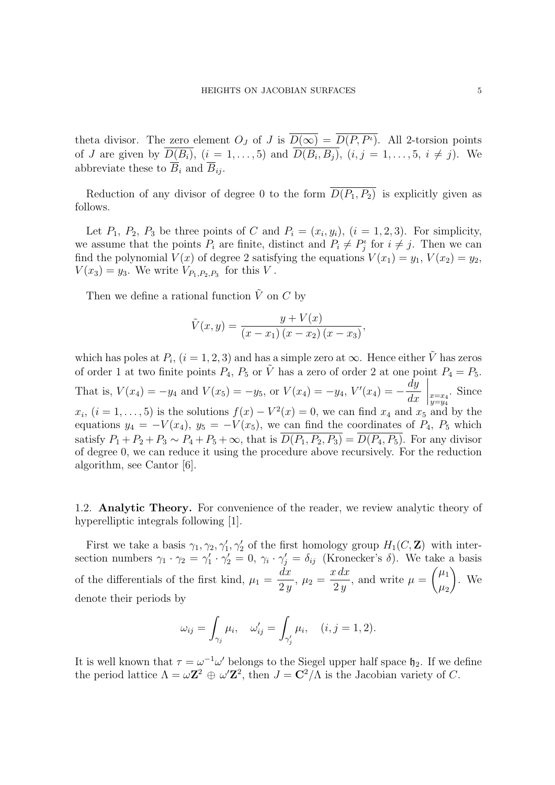theta divisor. The zero element  $O_J$  of *J* is  $D(\infty) = D(P, P^i)$ . All 2-torsion points of *J* are given by  $D(B_i)$ ,  $(i = 1, ..., 5)$  and  $D(B_i, B_j)$ ,  $(i, j = 1, ..., 5, i \neq j)$ . We abbreviate these to  $\overline{B}_i$  and  $\overline{B}_{ij}$ .

Reduction of any divisor of degree 0 to the form  $\overline{D(P_1, P_2)}$  is explicitly given as follows.

Let  $P_1$ ,  $P_2$ ,  $P_3$  be three points of *C* and  $P_i = (x_i, y_i)$ ,  $(i = 1, 2, 3)$ . For simplicity, we assume that the points  $P_i$  are finite, distinct and  $P_i \neq P_j^i$  for  $i \neq j$ . Then we can find the polynomial  $V(x)$  of degree 2 satisfying the equations  $V(x_1) = y_1, V(x_2) = y_2$ ,  $V(x_3) = y_3$ . We write  $V_{P_1, P_2, P_3}$  for this *V*.

Then we define a rational function  $\tilde{V}$  on  $C$  by

$$
\tilde{V}(x,y) = \frac{y + V(x)}{(x - x_1)(x - x_2)(x - x_3)},
$$

which has poles at  $P_i$ ,  $(i = 1, 2, 3)$  and has a simple zero at  $\infty$ . Hence either  $\tilde{V}$  has zeros of order 1 at two finite points  $P_4$ ,  $P_5$  or  $\tilde{V}$  has a zero of order 2 at one point  $P_4 = P_5$ . That is,  $V(x_4) = -y_4$  and  $V(x_5) = -y_5$ , or  $V(x_4) = -y_4$ ,  $V'(x_4) = -y_5$ *dy dx*  $\left| \begin{matrix} x = x_4 \\ y = y_4 \end{matrix} \right.$ . Since  $x_i$ ,  $(i = 1, \ldots, 5)$  is the solutions  $f(x) - V^2(x) = 0$ , we can find  $x_4$  and  $x_5$  and by the equations  $y_4 = -V(x_4)$ ,  $y_5 = -V(x_5)$ , we can find the coordinates of  $P_4$ ,  $P_5$  which satisfy  $P_1 + P_2 + P_3 \sim P_4 + P_5 + \infty$ , that is  $\overline{D(P_1, P_2, P_3)} = \overline{D(P_4, P_5)}$ . For any divisor of degree 0, we can reduce it using the procedure above recursively. For the reduction algorithm, see Cantor [6].

1.2. **Analytic Theory.** For convenience of the reader, we review analytic theory of hyperelliptic integrals following [1].

First we take a basis  $\gamma_1, \gamma_2, \gamma'_1, \gamma'_2$  of the first homology group  $H_1(C, \mathbf{Z})$  with intersection numbers  $\gamma_1 \cdot \gamma_2 = \gamma'_1 \cdot \gamma'_2 = 0$ ,  $\gamma_i \cdot \gamma'_j = \delta_{ij}$  (Kronecker's  $\delta$ ). We take a basis of the differentials of the first kind,  $\mu_1 =$ *dx*  $\frac{ax}{2y}, \mu_2 =$ *x dx* 2 *y* , and write  $\mu = \begin{pmatrix} \mu_1 \\ \mu_2 \end{pmatrix}$  $\mu_2$  $\bigg)$ . We denote their periods by

$$
\omega_{ij} = \int_{\gamma_j} \mu_i, \quad \omega'_{ij} = \int_{\gamma'_j} \mu_i, \quad (i, j = 1, 2).
$$

It is well known that  $\tau = \omega^{-1} \omega'$  belongs to the Siegel upper half space  $\mathfrak{h}_2$ . If we define the period lattice  $\Lambda = \omega \mathbb{Z}^2 \oplus \omega' \mathbb{Z}^2$ , then  $J = \mathbb{C}^2/\Lambda$  is the Jacobian variety of *C*.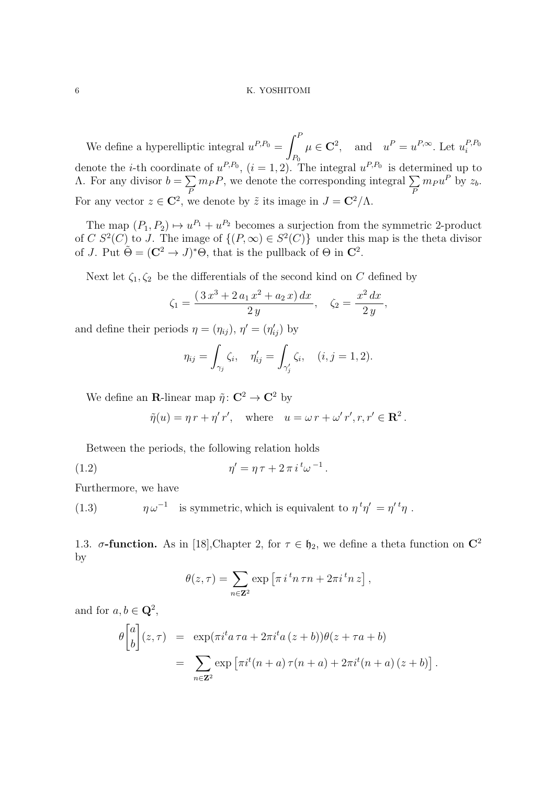We define a hyperelliptic integral  $u^{P,P_0} = \int^P \mu \in \mathbb{C}^2$ , and  $u^P = u^{P,\infty}$ . Let  $u_i^{P,P_0}$ *P*<sup>0</sup> *i* denote the *i*-th coordinate of  $u^{P,P_0}$ ,  $(i = 1, 2)$ . The integral  $u^{P,P_0}$  is determined up to Λ. For any divisor *b* = ∑ *P*  $m_P P$ , we denote the corresponding integral  $\sum$ *P*  $m_P u^P$  by  $z_b$ . For any vector  $z \in \mathbb{C}^2$ , we denote by  $\tilde{z}$  its image in  $J = \mathbb{C}^2/\Lambda$ .

The map  $(P_1, P_2) \mapsto u^{P_1} + u^{P_2}$  becomes a surjection from the symmetric 2-product of *C*  $S^2(C)$  to *J*. The image of  $\{(P, \infty) \in S^2(C)\}\$  under this map is the theta divisor of *J*. Put  $\tilde{\Theta} = (\mathbb{C}^2 \to J)^* \Theta$ , that is the pullback of  $\Theta$  in  $\mathbb{C}^2$ .

Next let  $\zeta_1, \zeta_2$  be the differentials of the second kind on *C* defined by

$$
\zeta_1 = \frac{(3x^3 + 2a_1x^2 + a_2x) dx}{2y}, \quad \zeta_2 = \frac{x^2 dx}{2y},
$$

and define their periods  $\eta = (\eta_{ij}), \eta' = (\eta'_{ij})$  by

$$
\eta_{ij} = \int_{\gamma_j} \zeta_i, \quad \eta'_{ij} = \int_{\gamma'_j} \zeta_i, \quad (i, j = 1, 2).
$$

We define an **R**-linear map  $\tilde{\eta}$ :  $\mathbf{C}^2 \to \mathbf{C}^2$  by

$$
\tilde{\eta}(u) = \eta r + \eta' r', \text{ where } u = \omega r + \omega' r', r, r' \in \mathbb{R}^2.
$$

Between the periods, the following relation holds

(1.2) 
$$
\eta' = \eta \tau + 2 \pi i^t \omega^{-1}.
$$

Furthermore, we have

(1.3)  $\eta \omega^{-1}$  is symmetric, which is equivalent to  $\eta^t \eta' = \eta'^t \eta$ .

1.3. *σ***-function.** As in [18], Chapter 2, for *τ* ∈  $\mathfrak{h}_2$ , we define a theta function on **C**<sup>2</sup> by

$$
\theta(z,\tau) = \sum_{n \in \mathbb{Z}^2} \exp \left[ \pi i^{\,t} n \,\tau n + 2\pi i^{\,t} n \,z \right],
$$

and for  $a, b \in \mathbb{Q}^2$ ,

$$
\theta \begin{bmatrix} a \\ b \end{bmatrix} (z, \tau) = \exp(\pi i^t a \tau a + 2\pi i^t a (z + b)) \theta(z + \tau a + b)
$$
  
= 
$$
\sum_{n \in \mathbb{Z}^2} \exp \left[ \pi i^t (n + a) \tau (n + a) + 2\pi i^t (n + a) (z + b) \right].
$$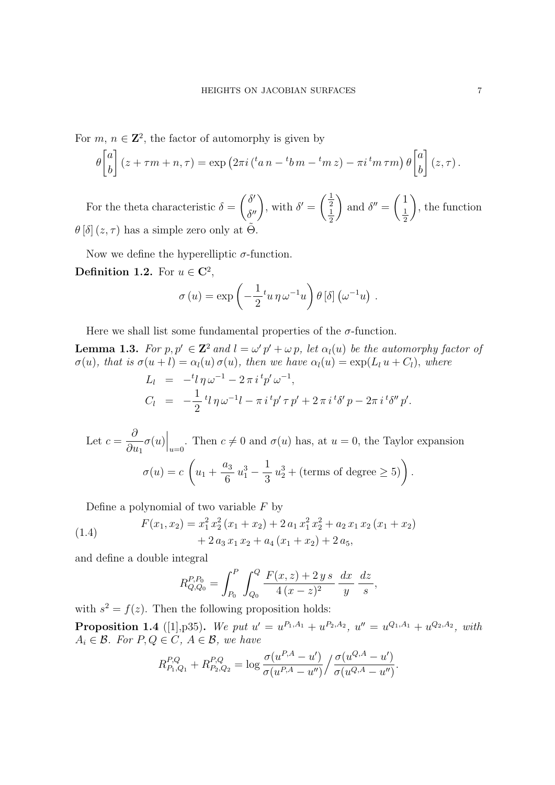For  $m, n \in \mathbb{Z}^2$ , the factor of automorphy is given by

$$
\theta \begin{bmatrix} a \\ b \end{bmatrix} (z + \tau m + n, \tau) = \exp (2\pi i (a_n - b_m - b_m z) - \pi i^m \tau m) \theta \begin{bmatrix} a \\ b \end{bmatrix} (z, \tau).
$$

For the theta characteristic  $\delta = \begin{pmatrix} \delta' \\ s' \end{pmatrix}$  $\delta'$ <sub>*δ*</sub><sup>*′′*</sup></sup>, with  $\delta' = \begin{pmatrix} \frac{1}{2} \\ \frac{1}{2} \end{pmatrix}$ 1 2 and  $\delta'' = \begin{pmatrix} 1 \\ 1 \end{pmatrix}$ 1 2 ) , the function  $\theta$  [ $\delta$ ] (*z, τ*) has a simple zero only at  $\Theta$ .

Now we define the hyperelliptic  $\sigma$ -function.

**Definition 1.2.** For  $u \in \mathbb{C}^2$ ,

$$
\sigma(u) = \exp\left(-\frac{1}{2}t u \,\eta \,\omega^{-1}u\right) \theta\left[\delta\right]\left(\omega^{-1}u\right) .
$$

Here we shall list some fundamental properties of the  $\sigma$ -function.

**Lemma 1.3.** For  $p, p' \in \mathbb{Z}^2$  and  $l = \omega' p' + \omega p$ , let  $\alpha_l(u)$  be the automorphy factor of  $\sigma(u)$ , that is  $\sigma(u+l) = \alpha_l(u)\sigma(u)$ , then we have  $\alpha_l(u) = \exp(L_l u + C_l)$ , where  $L_l = -{}^t l \eta \omega^{-1} - 2 \pi i \, {}^t p' \omega^{-1},$ *C<sup>l</sup>* = *−* 1 2  ${}^t l \, \eta \, \omega^{-1} l - \pi \, i \, {}^t p' \, \tau \, p' + 2 \, \pi \, i \, {}^t \delta' \, p - 2 \pi \, i \, {}^t \delta'' \, p'.$ 

Let 
$$
c = \frac{\partial}{\partial u_1} \sigma(u) \Big|_{u=0}
$$
. Then  $c \neq 0$  and  $\sigma(u)$  has, at  $u = 0$ , the Taylor expansion  

$$
\sigma(u) = c \left( u_1 + \frac{a_3}{6} u_1^3 - \frac{1}{3} u_2^3 + (\text{terms of degree} \ge 5) \right).
$$

Define a polynomial of two variable *F* by

(1.4) 
$$
F(x_1, x_2) = x_1^2 x_2^2 (x_1 + x_2) + 2 a_1 x_1^2 x_2^2 + a_2 x_1 x_2 (x_1 + x_2) + 2 a_3 x_1 x_2 + a_4 (x_1 + x_2) + 2 a_5,
$$

and define a double integral

$$
R_{Q,Q_0}^{P,P_0} = \int_{P_0}^{P} \int_{Q_0}^{Q} \frac{F(x,z) + 2\,y\,s}{4\,(x-z)^2} \, \frac{dx}{y} \, \frac{dz}{s},
$$

with  $s^2 = f(z)$ . Then the following proposition holds:

**Proposition 1.4** ([1], p35). We put  $u' = u^{P_1, A_1} + u^{P_2, A_2}$ ,  $u'' = u^{Q_1, A_1} + u^{Q_2, A_2}$ , with  $A_i \in \mathcal{B}$ *. For*  $P, Q \in \mathcal{C}$ *,*  $A \in \mathcal{B}$ *, we have* 

$$
R_{P_1,Q_1}^{P,Q} + R_{P_2,Q_2}^{P,Q} = \log \frac{\sigma(u^{P,A} - u')}{\sigma(u^{P,A} - u'')}/\frac{\sigma(u^{Q,A} - u')}{\sigma(u^{Q,A} - u'')}.
$$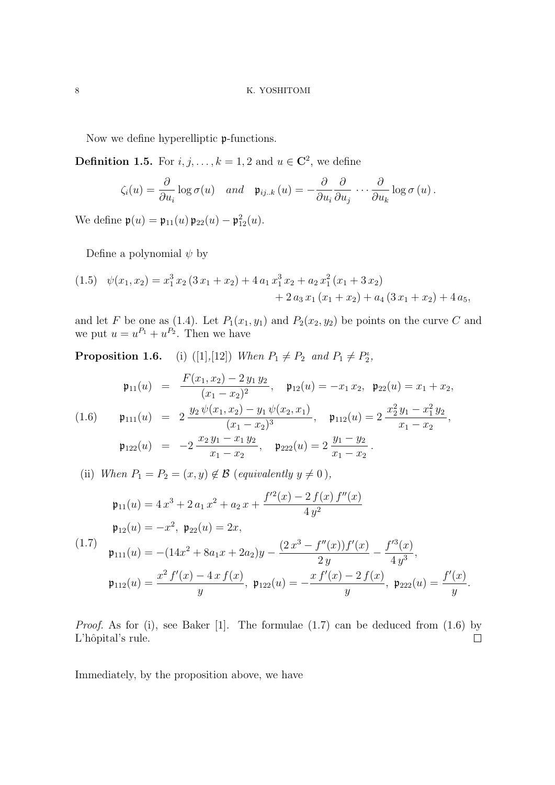Now we define hyperelliptic p-functions.

**Definition 1.5.** For  $i, j, \ldots, k = 1, 2$  and  $u \in \mathbb{C}^2$ , we define

$$
\zeta_i(u) = \frac{\partial}{\partial u_i} \log \sigma(u) \quad and \quad \mathfrak{p}_{ij..k} \left( u \right) = -\frac{\partial}{\partial u_i} \frac{\partial}{\partial u_j} \cdots \frac{\partial}{\partial u_k} \log \sigma(u) .
$$

We define  $\mathfrak{p}(u) = \mathfrak{p}_{11}(u) \mathfrak{p}_{22}(u) - \mathfrak{p}_{12}^2(u)$ .

Define a polynomial *ψ* by

$$
(1.5) \quad \psi(x_1, x_2) = x_1^3 x_2 (3 x_1 + x_2) + 4 a_1 x_1^3 x_2 + a_2 x_1^2 (x_1 + 3 x_2) + 2 a_3 x_1 (x_1 + x_2) + a_4 (3 x_1 + x_2) + 4 a_5,
$$

and let *F* be one as (1.4). Let  $P_1(x_1, y_1)$  and  $P_2(x_2, y_2)$  be points on the curve *C* and we put  $u = u^{P_1} + u^{P_2}$ . Then we have

**Proposition 1.6.** (i) ([1],[12]) *When*  $P_1 \neq P_2$  *and*  $P_1 \neq P_2^i$ ,

$$
\mathfrak{p}_{11}(u) = \frac{F(x_1, x_2) - 2 y_1 y_2}{(x_1 - x_2)^2}, \quad \mathfrak{p}_{12}(u) = -x_1 x_2, \quad \mathfrak{p}_{22}(u) = x_1 + x_2,
$$
\n
$$
\mathfrak{p}_{111}(u) = 2 \frac{y_2 \psi(x_1, x_2) - y_1 \psi(x_2, x_1)}{(x_1 - x_2)^3}, \quad \mathfrak{p}_{112}(u) = 2 \frac{x_2^2 y_1 - x_1^2 y_2}{x_1 - x_2},
$$
\n
$$
\mathfrak{p}_{122}(u) = -2 \frac{x_2 y_1 - x_1 y_2}{x_1 - x_2}, \quad \mathfrak{p}_{222}(u) = 2 \frac{y_1 - y_2}{x_1 - x_2}.
$$

(ii) *When*  $P_1 = P_2 = (x, y) \notin \mathcal{B}$  (*equivalently*  $y \neq 0$ ),

$$
\mathfrak{p}_{11}(u) = 4 x^3 + 2 a_1 x^2 + a_2 x + \frac{f'^2(x) - 2 f(x) f''(x)}{4 y^2}
$$
\n
$$
\mathfrak{p}_{12}(u) = -x^2, \ \mathfrak{p}_{22}(u) = 2x,
$$
\n
$$
\mathfrak{p}_{111}(u) = -(14x^2 + 8a_1 x + 2a_2)y - \frac{(2 x^3 - f''(x))f'(x)}{2 y} - \frac{f'^3(x)}{4 y^3},
$$
\n
$$
\mathfrak{p}_{112}(u) = \frac{x^2 f'(x) - 4 x f(x)}{y}, \ \mathfrak{p}_{122}(u) = -\frac{x f'(x) - 2 f(x)}{y}, \ \mathfrak{p}_{222}(u) = \frac{f'(x)}{y}.
$$

*Proof.* As for (i), see Baker [1]. The formulae (1.7) can be deduced from (1.6) by L'hôpital's rule.  $\Box$ 

Immediately, by the proposition above, we have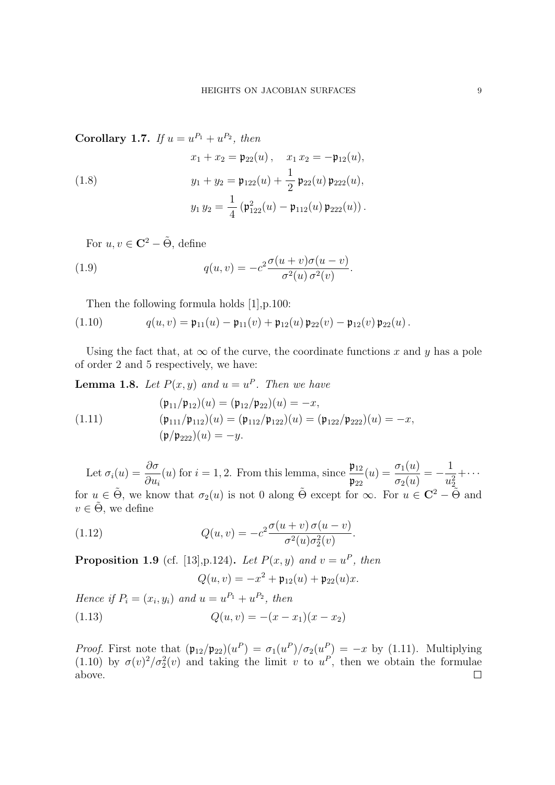**Corollary 1.7.** *If*  $u = u^{P_1} + u^{P_2}$ *, then* 

(1.8)  

$$
x_1 + x_2 = \mathfrak{p}_{22}(u), \quad x_1 x_2 = -\mathfrak{p}_{12}(u),
$$

$$
y_1 + y_2 = \mathfrak{p}_{122}(u) + \frac{1}{2} \mathfrak{p}_{22}(u) \mathfrak{p}_{222}(u),
$$

$$
y_1 y_2 = \frac{1}{4} (\mathfrak{p}_{122}^2(u) - \mathfrak{p}_{112}(u) \mathfrak{p}_{222}(u)).
$$

For  $u, v \in \mathbb{C}^2 - \tilde{\Theta}$ , define

(1.9) 
$$
q(u,v) = -c^2 \frac{\sigma(u+v)\sigma(u-v)}{\sigma^2(u)\sigma^2(v)}.
$$

Then the following formula holds [1],p.100:

(1.10) 
$$
q(u,v) = \mathfrak{p}_{11}(u) - \mathfrak{p}_{11}(v) + \mathfrak{p}_{12}(u) \mathfrak{p}_{22}(v) - \mathfrak{p}_{12}(v) \mathfrak{p}_{22}(u).
$$

Using the fact that, at  $\infty$  of the curve, the coordinate functions x and y has a pole of order 2 and 5 respectively, we have:

**Lemma 1.8.** Let  $P(x, y)$  and  $u = u^P$ . Then we have

(1.11) 
$$
(\mathfrak{p}_{11}/\mathfrak{p}_{12})(u) = (\mathfrak{p}_{12}/\mathfrak{p}_{22})(u) = -x,
$$

$$
(\mathfrak{p}_{111}/\mathfrak{p}_{112})(u) = (\mathfrak{p}_{112}/\mathfrak{p}_{122})(u) = (\mathfrak{p}_{122}/\mathfrak{p}_{222})(u) = -x,
$$

$$
(\mathfrak{p}/\mathfrak{p}_{222})(u) = -y.
$$

Let  $\sigma_i(u) = \frac{\partial \sigma}{\partial u}$ *∂u<sup>i</sup>* (*u*) for  $i = 1, 2$ . From this lemma, since  $\frac{\mathfrak{p}_{12}}{2}$  $\mathfrak{p}_{22}$  $(u) = \frac{\sigma_1(u)}{u}$  $\sigma_2(u)$ = *−* 1  $u_2^2$  $+\cdots$ for  $u \in \tilde{\Theta}$ , we know that  $\sigma_2(u)$  is not 0 along  $\tilde{\Theta}$  except for  $\infty$ . For  $u \in \mathbb{C}^2 - \tilde{\Theta}$  and  $v \in \tilde{\Theta}$ , we define

(1.12) 
$$
Q(u,v) = -c^2 \frac{\sigma(u+v)\,\sigma(u-v)}{\sigma^2(u)\sigma_2^2(v)}.
$$

**Proposition 1.9** (cf. [13], p.124). Let  $P(x, y)$  and  $v = u^P$ , then

$$
Q(u, v) = -x^2 + \mathfrak{p}_{12}(u) + \mathfrak{p}_{22}(u)x.
$$

*Hence if*  $P_i = (x_i, y_i)$  *and*  $u = u^{P_1} + u^{P_2}$ , *then* (1.13)  $Q(u, v) = -(x - x_1)(x - x_2)$ 

*Proof.* First note that  $(\mathfrak{p}_{12}/\mathfrak{p}_{22})(u^P) = \sigma_1(u^P)/\sigma_2(u^P) = -x$  by (1.11). Multiplying (1.10) by  $\sigma(v)^2/\sigma_2^2(v)$  and taking the limit *v* to  $u^P$ , then we obtain the formulae above. $\Box$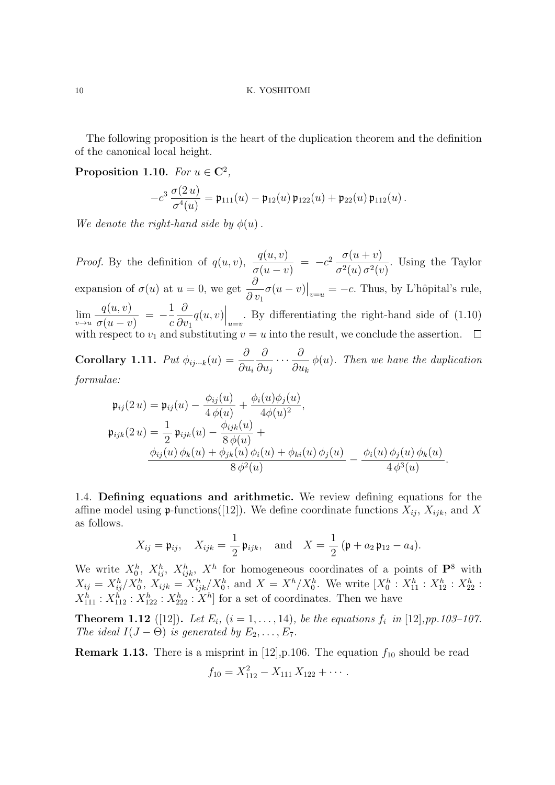The following proposition is the heart of the duplication theorem and the definition of the canonical local height.

**Proposition 1.10.** *For*  $u \in \mathbb{C}^2$ ,

$$
-c^3 \frac{\sigma(2u)}{\sigma^4(u)} = \mathfrak{p}_{111}(u) - \mathfrak{p}_{12}(u) \mathfrak{p}_{122}(u) + \mathfrak{p}_{22}(u) \mathfrak{p}_{112}(u).
$$

*We denote the right-hand side by*  $\phi(u)$ .

*Proof.* By the definition of  $q(u, v)$ ,  $\frac{q(u, v)}{q(u, v)}$  $=-c^2 \frac{\sigma(u+v)}{2(1-2i)}$ *.* Using the Taylor  $\sigma(u-v)$  $\sigma^2(u)$   $\sigma^2(v)$ *∂*  $\sigma(u - v)|_{v=u} = -c$ . Thus, by L'hôpital's rule, expansion of  $\sigma(u)$  at  $u = 0$ , we get *∂ v*<sup>1</sup> *q*(*u, v*) 1 *∂*  $q(u, v)\Big|_{u=v}$ . By differentiating the right-hand side of (1.10) lim*v→u* = *−*  $\sigma(u-v)$ *c ∂v*<sup>1</sup> with respect to  $v_1$  and substituting  $v = u$  into the result, we conclude the assertion.  $\Box$ 

 $\textbf{Corollary 1.11.} \ \ Put \ \phi_{ij\cdots k}(u) = \frac{\partial}{\partial u_i}$ *∂*  $\frac{\delta}{\partial u_j}$  · · · *· ∂ ∂ ∂u<sup>k</sup> ϕ*(*u*)*. Then we have the duplication formulae:*

$$
\mathfrak{p}_{ij}(2u) = \mathfrak{p}_{ij}(u) - \frac{\phi_{ij}(u)}{4 \phi(u)} + \frac{\phi_i(u)\phi_j(u)}{4\phi(u)^2}, \n\mathfrak{p}_{ijk}(2u) = \frac{1}{2} \mathfrak{p}_{ijk}(u) - \frac{\phi_{ijk}(u)}{8 \phi(u)} + \n\frac{\phi_{ij}(u) \phi_k(u) + \phi_{jk}(u) \phi_i(u) + \phi_{ki}(u) \phi_j(u)}{8 \phi^2(u)} - \frac{\phi_i(u) \phi_j(u) \phi_k(u)}{4 \phi^3(u)}.
$$

1.4. **Defining equations and arithmetic.** We review defining equations for the affine model using  $\mathfrak{p}$ -functions([12]). We define coordinate functions  $X_{ij}$ ,  $X_{ijk}$ , and X as follows.

$$
X_{ij} = \mathfrak{p}_{ij}, \quad X_{ijk} = \frac{1}{2} \mathfrak{p}_{ijk}, \quad \text{and} \quad X = \frac{1}{2} (\mathfrak{p} + a_2 \mathfrak{p}_{12} - a_4).
$$

We write  $X_0^h$ ,  $X_{ij}^h$ ,  $X_{ijk}^h$ ,  $X^h$  for homogeneous coordinates of a points of  $\mathbf{P}^8$  with  $X_{ij} = X_{ij}^h / X_0^h$ ,  $X_{ijk} = X_{ijk}^h / X_0^h$ , and  $X = X^h / X_0^h$ . We write  $[X_0^h : X_{11}^h : X_{12}^h : X_{22}^h : X_{23}^h]$  $X_{111}^h : X_{112}^h : X_{122}^h : X_{222}^h : X^h$  for a set of coordinates. Then we have

**Theorem 1.12** ([12]). Let  $E_i$ ,  $(i = 1, ..., 14)$ , be the equations  $f_i$  in [12], pp.103-107. *The ideal*  $I(J - \Theta)$  *is generated by*  $E_2, \ldots, E_7$ *.* 

**Remark 1.13.** There is a misprint in [12], p.106. The equation  $f_{10}$  should be read

$$
f_{10}=X_{112}^2-X_{111}X_{122}+\cdots.
$$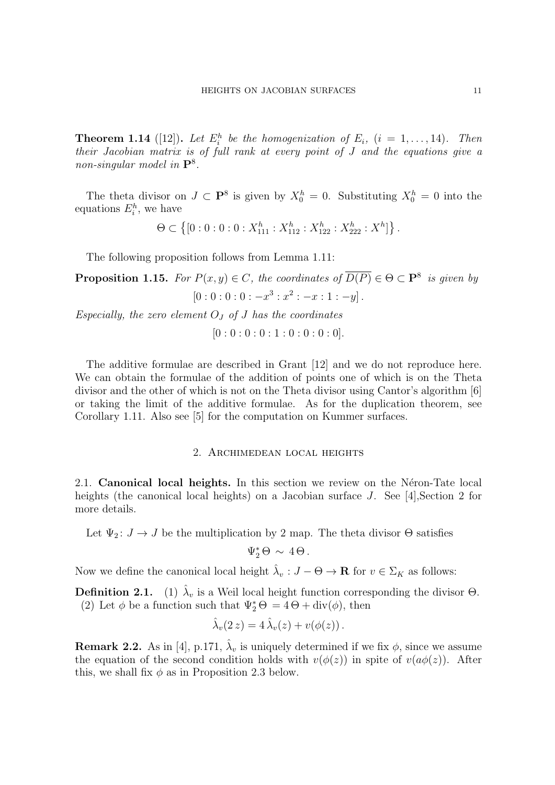**Theorem 1.14** ([12]). Let  $E_i^h$  be the homogenization of  $E_i$ , ( $i = 1, \ldots, 14$ ). Then *their Jacobian matrix is of full rank at every point of J and the equations give a non-singular model in* **P**<sup>8</sup> *.*

The theta divisor on  $J \subset \mathbf{P}^8$  is given by  $X_0^h = 0$ . Substituting  $X_0^h = 0$  into the equations  $E_i^h$ , we have

$$
\Theta \subset \left\{ [0:0:0:0:X_{111}^h : X_{112}^h : X_{122}^h : X_{222}^h : X^h] \right\}.
$$

The following proposition follows from Lemma 1.11:

**Proposition 1.15.** For  $P(x, y) \in C$ , the coordinates of  $\overline{D(P)} \in \Theta \subset \mathbf{P}^8$  is given by  $[0:0:0:0:-x^3:x^2:-x:1:-y]$ .

*Especially, the zero element O<sup>J</sup> of J has the coordinates*

$$
[0:0:0:0:1:0:0:0:0].
$$

The additive formulae are described in Grant [12] and we do not reproduce here. We can obtain the formulae of the addition of points one of which is on the Theta divisor and the other of which is not on the Theta divisor using Cantor's algorithm [6] or taking the limit of the additive formulae. As for the duplication theorem, see Corollary 1.11. Also see [5] for the computation on Kummer surfaces.

# 2. Archimedean local heights

2.1. **Canonical local heights.** In this section we review on the Neron-Tate local heights (the canonical local heights) on a Jacobian surface *J*. See [4], Section 2 for more details.

Let  $\Psi_2: J \to J$  be the multiplication by 2 map. The theta divisor  $\Theta$  satisfies

 $\Psi_2^* \Theta \sim 4 \Theta$ .

Now we define the canonical local height  $\hat{\lambda}_v : J - \Theta \to \mathbf{R}$  for  $v \in \Sigma_K$  as follows:

**Definition 2.1.** (1)  $\hat{\lambda}_v$  is a Weil local height function corresponding the divisor  $\Theta$ . (2) Let  $\phi$  be a function such that  $\Psi_2^* \Theta = 4 \Theta + \text{div}(\phi)$ , then

$$
\hat{\lambda}_v(2z) = 4\,\hat{\lambda}_v(z) + v(\phi(z)).
$$

**Remark 2.2.** As in [4], p.171,  $\hat{\lambda}_v$  is uniquely determined if we fix  $\phi$ , since we assume the equation of the second condition holds with  $v(\phi(z))$  in spite of  $v(a\phi(z))$ . After this, we shall fix  $\phi$  as in Proposition 2.3 below.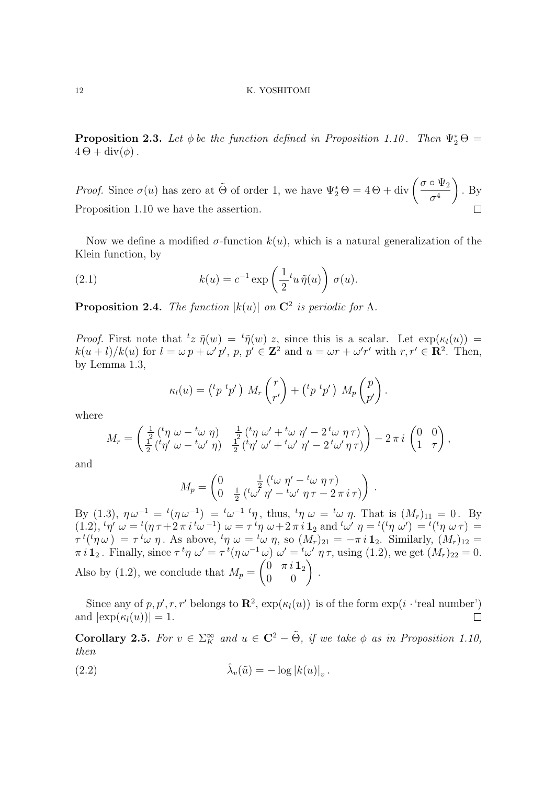**Proposition 2.3.** Let  $\phi$  be the function defined in Proposition 1.10. Then  $\Psi_2^* \Theta =$  $4\Theta + \text{div}(\phi)$ .

*Proof.* Since  $\sigma(u)$  has zero at  $\tilde{\Theta}$  of order 1, we have  $\Psi_2^* \Theta = 4 \Theta + \text{div} \left( \frac{\sigma \circ \Psi_2}{\sigma^4} \right)$  $\sigma^4$ ) *.* By Proposition 1.10 we have the assertion.

Now we define a modified  $\sigma$ -function  $k(u)$ , which is a natural generalization of the Klein function, by

(2.1) 
$$
k(u) = c^{-1} \exp\left(\frac{1}{2}t_u \tilde{\eta}(u)\right) \sigma(u).
$$

**Proposition 2.4.** *The function*  $|k(u)|$  *on*  $\mathbb{C}^2$  *is periodic for*  $\Lambda$ *.* 

*Proof.* First note that  ${}^t z \tilde{\eta}(w) = {}^t \tilde{\eta}(w) z$ , since this is a scalar. Let  $\exp(\kappa_l(u)) =$  $k(u+l)/k(u)$  for  $l = \omega p + \omega' p'$ ,  $p, p' \in \mathbb{Z}^2$  and  $u = \omega r + \omega' r'$  with  $r, r' \in \mathbb{R}^2$ . Then, by Lemma 1.3,

$$
\kappa_l(u) = \left(\begin{matrix} t p & t p' \end{matrix}\right) M_r \begin{pmatrix} r \\ r' \end{pmatrix} + \left(\begin{matrix} t p & t p' \end{matrix}\right) M_p \begin{pmatrix} p \\ p' \end{pmatrix}.
$$

where

$$
M_r = \begin{pmatrix} \frac{1}{2} \left( \frac{t_{\eta}}{\eta} \omega - \frac{t_{\omega}}{\eta} \right) & \frac{1}{2} \left( \frac{t_{\eta}}{\eta} \omega' + \frac{t_{\omega}}{\eta'} \eta' - 2 \frac{t_{\omega}}{\eta} \eta \right) \\ \frac{1}{2} \left( \frac{t_{\eta'}}{\eta'} \omega - \frac{t_{\omega'}}{\eta} \eta \right) & \frac{1}{2} \left( \frac{t_{\eta'}}{\eta'} \omega' + \frac{t_{\omega'}}{\eta'} \eta' - 2 \frac{t_{\omega'}}{\eta} \eta \right) \end{pmatrix} - 2 \pi i \begin{pmatrix} 0 & 0 \\ 1 & \tau \end{pmatrix},
$$

and

$$
M_p = \begin{pmatrix} 0 & \frac{1}{2} \left( \begin{matrix} t_{\omega} & \eta' - \frac{t_{\omega}}{2} & \eta \tau \end{matrix} \right) \\ 0 & \frac{1}{2} \left( \begin{matrix} t_{\omega'} & \eta' - \frac{t_{\omega'}}{2} & \eta \tau - 2 \pi i \tau \end{matrix} \right) \end{pmatrix}
$$

*.*

By (1.3),  $\eta \omega^{-1} = {}^t(\eta \omega^{-1}) = {}^t\omega^{-1} {}^t\eta$ , thus,  ${}^t\eta \omega = {}^t\omega \eta$ . That is  $(M_r)_{11} = 0$ . By  $(1.2), \, {}^t\eta' \; \omega = {}^t(\eta \, \tau + 2 \pi \, i \, {}^t\omega^{-1}) \; \omega = \tau \, {}^t\eta \; \omega + 2 \pi \, i \, \mathbf{1}_2 \text{ and } {}^t\omega' \; \eta = {}^t({}^t\eta \; \omega') = {}^t({}^t\eta \; \omega \, \tau) =$  $\tau^{t}({}^{t}\eta \omega) = \tau^{t} \omega \eta$ . As above,  ${}^{t}\eta \omega = {}^{t}\omega \eta$ , so  $(M_{r})_{21} = -\pi i \mathbf{1}_{2}$ . Similarly,  $(M_{r})_{12} =$  $\pi i \mathbf{1}_2$ . Finally, since  $\tau^t \eta \omega' = \tau^t (\eta \omega^{-1} \omega) \omega' = {}^t \omega' \eta \tau$ , using (1.2), we get  $(M_r)_{22} = 0$ . Also by (1.2), we conclude that  $M_p = \begin{pmatrix} 0 & \pi i \mathbf{1}_2 \\ 0 & 0 \end{pmatrix}$ .

Since any of  $p, p', r, r'$  belongs to  $\mathbb{R}^2$ ,  $\exp(\kappa_l(u))$  is of the form  $\exp(i \cdot \text{real number})$ and  $|\exp(\kappa_l(u))|=1$ .  $\Box$ 

**Corollary 2.5.** *For*  $v \in \Sigma_K^{\infty}$  *and*  $u \in \mathbb{C}^2 - \tilde{\Theta}$ *, if we take*  $\phi$  *as in Proposition 1.10, then*

(2.2) 
$$
\hat{\lambda}_v(\tilde{u}) = -\log |k(u)|_v.
$$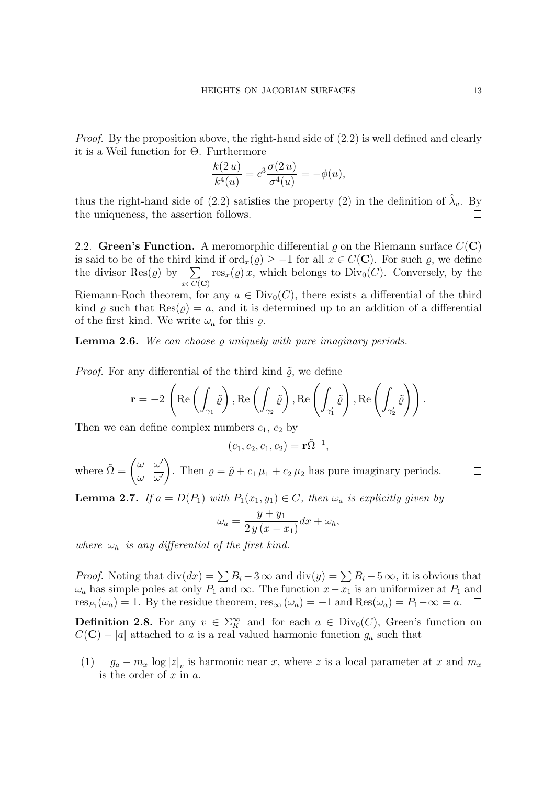*Proof.* By the proposition above, the right-hand side of  $(2.2)$  is well defined and clearly it is a Weil function for Θ. Furthermore

$$
\frac{k(2u)}{k^4(u)} = c^3 \frac{\sigma(2u)}{\sigma^4(u)} = -\phi(u),
$$

thus the right-hand side of (2.2) satisfies the property (2) in the definition of  $\hat{\lambda}_v$ . By the uniqueness, the assertion follows.  $\Box$ 

2.2. **Green's Function.** A meromorphic differential  $\varrho$  on the Riemann surface  $C(\mathbf{C})$ is said to be of the third kind if ord<sub>*x*</sub>( $\varrho$ )  $\geq -1$  for all  $x \in C(\mathbb{C})$ . For such  $\varrho$ , we define the divisor  $\text{Res}(\varrho)$  by  $\sum$ *x∈C*(**C**)  $res_x(\varrho)x$ , which belongs to  $Div_0(C)$ . Conversely, by the Riemann-Roch theorem, for any  $a \in Div_0(C)$ , there exists a differential of the third kind  $\rho$  such that  $\text{Res}(\rho) = a$ , and it is determined up to an addition of a differential of the first kind. We write  $\omega_a$  for this  $\rho$ .

**Lemma 2.6.** *We can choose ϱ uniquely with pure imaginary periods.*

*Proof.* For any differential of the third kind  $\tilde{\rho}$ , we define

$$
\mathbf{r} = -2 \left( \text{Re} \left( \int_{\gamma_1} \tilde{\varrho} \right), \text{Re} \left( \int_{\gamma_2} \tilde{\varrho} \right), \text{Re} \left( \int_{\gamma'_1} \tilde{\varrho} \right), \text{Re} \left( \int_{\gamma'_2} \tilde{\varrho} \right) \right).
$$

Then we can define complex numbers  $c_1$ ,  $c_2$  by

$$
(c_1, c_2, \overline{c_1}, \overline{c_2}) = \mathbf{r} \tilde{\Omega}^{-1},
$$

where  $\tilde{\Omega} = \begin{pmatrix} \omega & \omega' \\ \overline{\omega} & \overline{\omega'} \end{pmatrix}$ *ω ω′* Then  $\rho = \tilde{\rho} + c_1 \mu_1 + c_2 \mu_2$  has pure imaginary periods.

**Lemma 2.7.** *If*  $a = D(P_1)$  *with*  $P_1(x_1, y_1) \in C$ *, then*  $\omega_a$  *is explicitly given by* 

$$
\omega_a = \frac{y + y_1}{2y(x - x_1)} dx + \omega_h,
$$

*where*  $\omega_h$  *is any differential of the first kind.* 

*Proof.* Noting that  $\text{div}(dx) = \sum B_i - 3 \infty$  and  $\text{div}(y) = \sum B_i - 5 \infty$ , it is obvious that  $\omega_a$  has simple poles at only  $P_1$  and  $\infty$ . The function  $x - x_1$  is an uniformizer at  $P_1$  and  $res_{P_1}(\omega_a) = 1$ . By the residue theorem,  $res_{\infty}(\omega_a) = -1$  and  $Res(\omega_a) = P_1 - \infty = a$ .

**Definition 2.8.** For any  $v \in \Sigma_K^{\infty}$  and for each  $a \in Div_0(C)$ , Green's function on  $C(\mathbf{C}) - |a|$  attached to *a* is a real valued harmonic function  $g_a$  such that

(1)  $g_a - m_x \log |z|_v$  is harmonic near *x*, where *z* is a local parameter at *x* and  $m_x$ is the order of *x* in *a*.

 $\Box$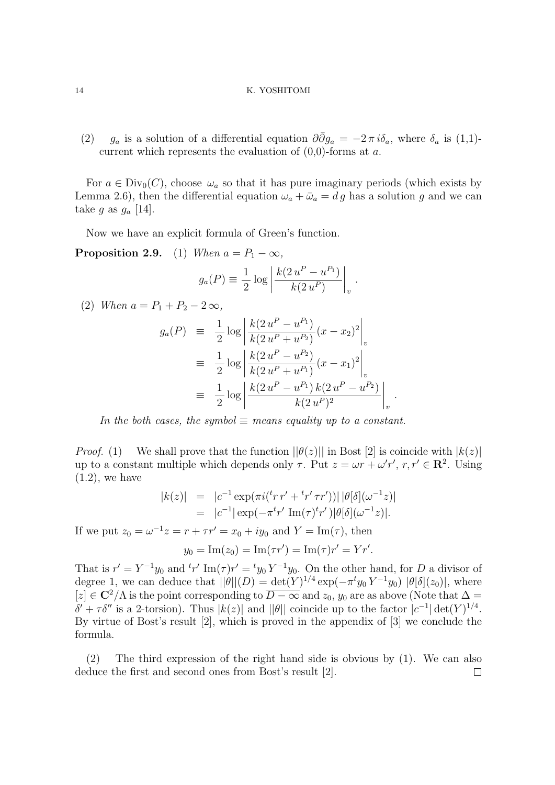(2) *g<sub>a</sub>* is a solution of a differential equation  $\partial \overline{\partial} g_a = -2 \pi i \delta_a$ , where  $\delta_a$  is (1,1)current which represents the evaluation of (0,0)-forms at *a*.

For  $a \in Div_0(C)$ , choose  $\omega_a$  so that it has pure imaginary periods (which exists by Lemma 2.6), then the differential equation  $\omega_a + \bar{\omega}_a = dg$  has a solution *g* and we can take *g* as  $g_a$  [14].

Now we have an explicit formula of Green's function.

**Proposition 2.9.** (1) *When*  $a = P_1 - \infty$ *,* 

$$
g_a(P) \equiv \frac{1}{2} \log \left| \frac{k(2u^P - u^{P_1})}{k(2u^P)} \right|_v.
$$

 $(2)$  *When*  $a = P_1 + P_2 - 2 \infty$ ,

$$
g_a(P) \equiv \frac{1}{2} \log \left| \frac{k(2 u^P - u^{P_1})}{k(2 u^P + u^{P_2})} (x - x_2)^2 \right|_v
$$
  

$$
\equiv \frac{1}{2} \log \left| \frac{k(2 u^P - u^{P_2})}{k(2 u^P + u^{P_1})} (x - x_1)^2 \right|_v
$$
  

$$
\equiv \frac{1}{2} \log \left| \frac{k(2 u^P - u^{P_1}) k(2 u^P - u^{P_2})}{k(2 u^P)^2} \right|_v
$$

*.*

*In the both cases, the symbol*  $\equiv$  *means equality up to a constant.* 

*Proof.* (1) We shall prove that the function  $||\theta(z)||$  in Bost [2] is coincide with  $|k(z)|$ up to a constant multiple which depends only  $\tau$ . Put  $z = \omega r + \omega' r'$ ,  $r, r' \in \mathbb{R}^2$ . Using  $(1.2)$ , we have

$$
|k(z)| = |c^{-1} \exp(\pi i (t' r' + t' r' \tau r'))| |\theta[\delta](\omega^{-1} z)|
$$
  
=  $|c^{-1}| \exp(-\pi^t r' \operatorname{Im}(\tau)^t r')| \theta[\delta](\omega^{-1} z)|.$ 

If we put  $z_0 = \omega^{-1} z = r + \tau r' = x_0 + iy_0$  and  $Y = \text{Im}(\tau)$ , then

$$
y_0 = \text{Im}(z_0) = \text{Im}(\tau r') = \text{Im}(\tau) r' = Y r'.
$$

That is  $r' = Y^{-1}y_0$  and  ${}^t r' \text{Im}(\tau) r' = {}^t y_0 Y^{-1}y_0$ . On the other hand, for *D* a divisor of degree 1, we can deduce that  $||\theta||(D) = \det(Y)^{1/4} \exp(-\pi^t y_0 Y^{-1} y_0) |\theta[\delta](z_0)|$ , where  $[z]$  ∈ **C**<sup>2</sup>/A is the point corresponding to  $\overline{D - \infty}$  and  $z_0$ ,  $y_0$  are as above (Note that  $\Delta =$  $\delta' + \tau \delta''$  is a 2-torsion). Thus  $|k(z)|$  and  $||\theta||$  coincide up to the factor  $|c^{-1}| \det(Y)^{1/4}$ . By virtue of Bost's result [2], which is proved in the appendix of [3] we conclude the formula.

(2) The third expression of the right hand side is obvious by (1). We can also deduce the first and second ones from Bost's result [2]. $\Box$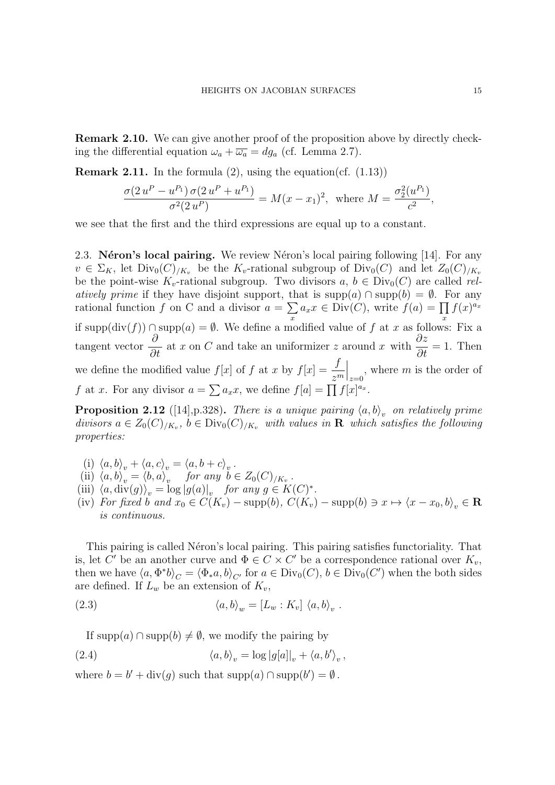**Remark 2.10.** We can give another proof of the proposition above by directly checking the differential equation  $\omega_a + \overline{\omega_a} = dg_a$  (cf. Lemma 2.7).

**Remark 2.11.** In the formula  $(2)$ , using the equation(cf.  $(1.13)$ )

$$
\frac{\sigma(2u^P - u^{P_1})\,\sigma(2u^P + u^{P_1})}{\sigma^2(2u^P)} = M(x - x_1)^2, \text{ where } M = \frac{\sigma_2^2(u^{P_1})}{c^2},
$$

we see that the first and the third expressions are equal up to a constant.

2.3. **N**éron's local pairing. We review Néron's local pairing following [14]. For any  $v \in \Sigma_K$ , let  $\text{Div}_0(C)_{/K_v}$  be the  $K_v$ -rational subgroup of  $\text{Div}_0(C)$  and let  $Z_0(C)_{/K_v}$ be the point-wise  $K_v$ -rational subgroup. Two divisors  $a, b \in Div_0(C)$  are called *relatively prime* if they have disjoint support, that is supp(*a*)  $\cap$  supp(*b*) =  $\emptyset$ . For any rational function *f* on C and a divisor  $a = \sum$ *x*  $a_x x \in \text{Div}(C)$ , write  $f(a) = \prod$ *x*  $f(x)^{a_x}$ if supp(div(*f*)) *∩* supp(*a*) = *∅*. We define a modified value of *f* at *x* as follows: Fix a tangent vector *∂ ∂t* at *x* on *C* and take an uniformizer *z* around *x* with  $\frac{\partial z}{\partial x}$ *∂t*  $= 1.$  Then we define the modified value  $f[x]$  of  $f$  at  $x$  by  $f[x] = \frac{f}{f(x)}$ *z<sup>m</sup>*  $\Big|_{z=0}$ , where *m* is the order of *f* at *x*. For any divisor  $a = \sum a_x x$ , we define  $f[a] = \prod f[x]^{a_x}$ .

**Proposition 2.12** ([14],p.328). *There is a unique pairing*  $\langle a,b \rangle_v$  *on relatively prime divisors*  $a \in Z_0(C)_{/K_v}$ ,  $b \in Div_0(C)_{/K_v}$  *with values in* **R** *which satisfies the following properties:*

- (i)  $\langle a, b \rangle_v + \langle a, c \rangle_v = \langle a, b + c \rangle_v$ .
- (ii)  $\langle a, b \rangle_v = \langle b, a \rangle_v$  for any  $b \in Z_0(C)_{/K_v}$ .
- (iii)  $\langle a, \text{div}(g) \rangle_v = \log |g(a)|_v$  *for any*  $g \in K(C)^*$ .
- (iv) For fixed b and  $x_0 \in C(K_v)$  supp(b),  $C(K_v)$  supp(b)  $\ni x \mapsto \langle x x_0, b \rangle_v \in \mathbf{R}$ *is continuous.*

This pairing is called Néron's local pairing. This pairing satisfies functoriality. That is, let *C'* be an another curve and  $\Phi \in C \times C'$  be a correspondence rational over  $K_v$ , then we have  $\langle a, \Phi^* b \rangle_C = \langle \Phi_* a, b \rangle_{C'}$  for  $a \in Div_0(C)$ ,  $b \in Div_0(C')$  when the both sides are defined. If  $L_w$  be an extension of  $K_v$ ,

(2.3) 
$$
\langle a, b \rangle_w = [L_w : K_v] \langle a, b \rangle_v.
$$

If supp(*a*) ∩ supp(*b*)  $\neq$  *Ø*, we modify the pairing by

(2.4) 
$$
\langle a,b\rangle_v = \log|g[a]|_v + \langle a,b'\rangle_v,
$$

where  $b = b' + \text{div}(g)$  such that  $\text{supp}(a) \cap \text{supp}(b') = \emptyset$ .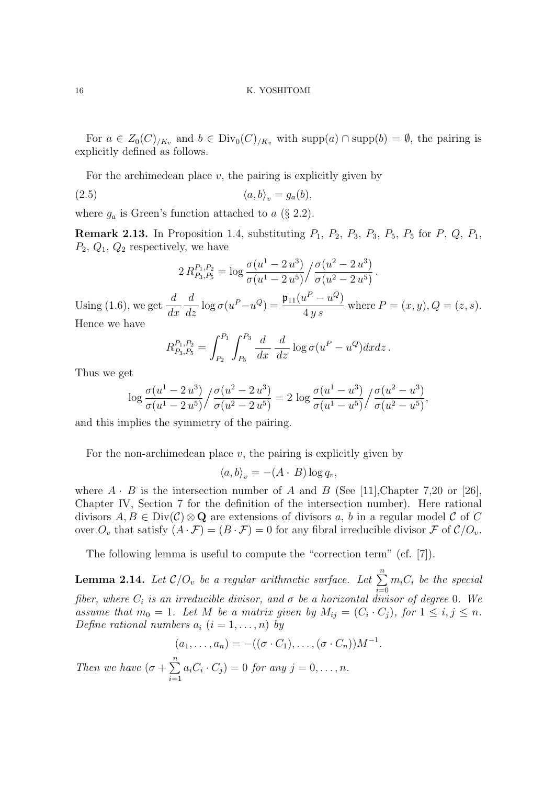For  $a \in Z_0(C)_{/K_v}$  and  $b \in Div_0(C)_{/K_v}$  with  $supp(a) \cap supp(b) = \emptyset$ , the pairing is explicitly defined as follows.

For the archimedean place *v*, the pairing is explicitly given by

$$
(2.5) \t\t \langle a,b\rangle_v = g_a(b),
$$

where  $g_a$  is Green's function attached to  $a \ (\S 2.2)$ .

**Remark 2.13.** In Proposition 1.4, substituting *P*1, *P*2, *P*3, *P*3, *P*5, *P*<sup>5</sup> for *P*, *Q*, *P*1, *P*2, *Q*1, *Q*<sup>2</sup> respectively, we have

$$
2 R_{P_3,P_5}^{P_1,P_2} = \log \frac{\sigma(u^1 - 2 u^3)}{\sigma(u^1 - 2 u^5)} / \frac{\sigma(u^2 - 2 u^3)}{\sigma(u^2 - 2 u^5)}.
$$

Using  $(1.6)$ , we get  $\frac{d}{1}$ *dx d*  $\frac{d}{dz}$  log  $\sigma(u^P - u^Q) = \frac{\mathfrak{p}_{11}(u^P - u^Q)}{4\,y\,s}$ 4 *y s* where  $P = (x, y), Q = (z, s)$ . Hence we have

$$
R_{P_3,P_5}^{P_1,P_2} = \int_{P_2}^{P_1} \int_{P_5}^{P_3} \frac{d}{dx} \frac{d}{dz} \log \sigma (u^P - u^Q) dx dz.
$$

Thus we get

$$
\log \frac{\sigma(u^1 - 2u^3)}{\sigma(u^1 - 2u^5)} / \frac{\sigma(u^2 - 2u^3)}{\sigma(u^2 - 2u^5)} = 2 \log \frac{\sigma(u^1 - u^3)}{\sigma(u^1 - u^5)} / \frac{\sigma(u^2 - u^3)}{\sigma(u^2 - u^5)},
$$

and this implies the symmetry of the pairing.

For the non-archimedean place  $v$ , the pairing is explicitly given by

$$
\langle a, b \rangle_v = -(A \cdot B) \log q_v,
$$

where  $A \cdot B$  is the intersection number of  $A$  and  $B$  (See [11], Chapter 7,20 or [26], Chapter IV, Section 7 for the definition of the intersection number). Here rational divisors  $A, B \in Div(\mathcal{C})\otimes\mathbf{Q}$  are extensions of divisors a, b in a regular model  $\mathcal{C}$  of  $C$ over  $O_v$  that satisfy  $(A \cdot \mathcal{F}) = (B \cdot \mathcal{F}) = 0$  for any fibral irreducible divisor  $\mathcal{F}$  of  $\mathcal{C}/O_v$ .

The following lemma is useful to compute the "correction term" (cf. [7]).

**Lemma 2.14.** *Let*  $C/O_v$  *be a regular arithmetic surface. Let*  $\sum_{n=1}^{n}$ *i*=0  $m_i C_i$  *be the special fiber, where*  $C_i$  *is an irreducible divisor, and*  $\sigma$  *be a horizontal divisor of degree* 0*.* We *assume that*  $m_0 = 1$ *. Let M be a matrix given by*  $M_{ij} = (C_i \cdot C_j)$ *, for*  $1 \le i, j \le n$ *. Define rational numbers*  $a_i$   $(i = 1, \ldots, n)$  by

$$
(a_1,\ldots,a_n)= -((\sigma \cdot C_1),\ldots,(\sigma \cdot C_n))M^{-1}.
$$

*Then we have*  $(\sigma + \sum_{i=1}^{n}$ *i*=1  $a_i C_i \cdot C_j$  = 0 *for any j* = 0*, . . . , n.*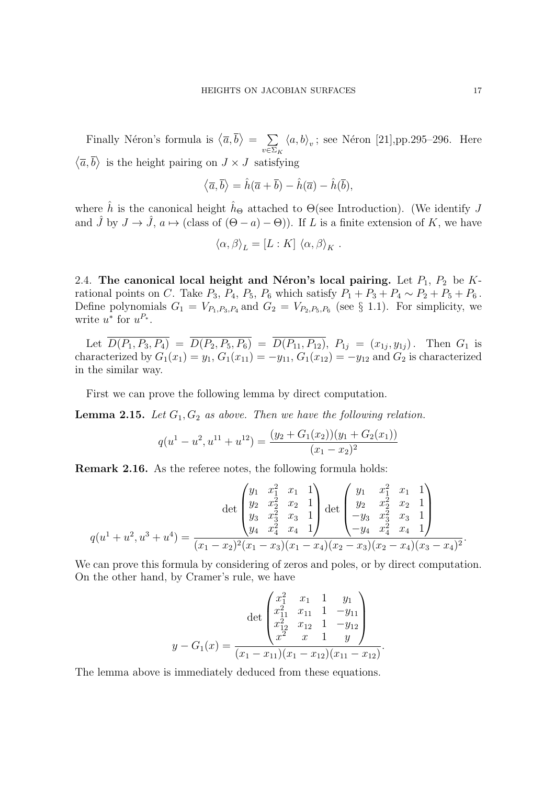Finally Néron's formula is  $\langle \overline{a}, \overline{b} \rangle = \sum$ *v∈*Σ*<sup>K</sup>*  $\langle a, b \rangle_v$ ; see Néron [21],pp.295–296. Here  $\langle \overline{a}, \overline{b} \rangle$  is the height pairing on  $J \times J$  satisfying

$$
\langle \overline{a}, \overline{b} \rangle = \hat{h}(\overline{a} + \overline{b}) - \hat{h}(\overline{a}) - \hat{h}(\overline{b}),
$$

where  $\hat{h}$  is the canonical height  $\hat{h}_{\Theta}$  attached to  $\Theta$ (see Introduction). (We identify *J* and  $\hat{J}$  by  $J \to \hat{J}$ ,  $a \mapsto$  (class of  $(\Theta - a) - \Theta$ )). If *L* is a finite extension of *K*, we have

$$
\langle \alpha, \beta \rangle_L = [L : K] \langle \alpha, \beta \rangle_K.
$$

2.4. The canonical local height and Néron's local pairing. Let  $P_1$ ,  $P_2$  be  $K$ rational points on *C*. Take  $P_3$ ,  $P_4$ ,  $P_5$ ,  $P_6$  which satisfy  $P_1 + P_3 + P_4 \sim P_2 + P_5 + P_6$ . Define polynomials  $G_1 = V_{P_1,P_3,P_4}$  and  $G_2 = V_{P_2,P_5,P_6}$  (see § 1.1). For simplicity, we write  $u^*$  for  $u^{P_*}$ .

Let  $D(P_1, P_3, P_4) = D(P_2, P_5, P_6) = D(P_{11}, P_{12}), P_{1j} = (x_{1j}, y_{1j}).$  Then  $G_1$  is characterized by  $G_1(x_1) = y_1, G_1(x_{11}) = -y_{11}, G_1(x_{12}) = -y_{12}$  and  $G_2$  is characterized in the similar way.

First we can prove the following lemma by direct computation.

**Lemma 2.15.** *Let G*1*, G*<sup>2</sup> *as above. Then we have the following relation.*

$$
q(u1 - u2, u11 + u12) = \frac{(y_2 + G_1(x_2))(y_1 + G_2(x_1))}{(x_1 - x_2)^2}
$$

**Remark 2.16.** As the referee notes, the following formula holds:

$$
q(u^{1} + u^{2}, u^{3} + u^{4}) = \frac{\left(\begin{array}{cccc}y_{1} & x_{1}^{2} & x_{1} & 1\\y_{2} & x_{2}^{2} & x_{2} & 1\\y_{3} & x_{3}^{2} & x_{3} & 1\\y_{4} & x_{4}^{2} & x_{4} & 1\end{array}\right) \det \left(\begin{array}{cccc}y_{1} & x_{1}^{2} & x_{1} & 1\\y_{2} & x_{2}^{2} & x_{2} & 1\\-y_{3} & x_{3}^{2} & x_{3} & 1\\-y_{4} & x_{4}^{2} & x_{4} & 1\end{array}\right)}{q(u^{1} + u^{2}, u^{3} + u^{4})} = \frac{(x_{1} - x_{2})^{2}(x_{1} - x_{3})(x_{1} - x_{4})(x_{2} - x_{3})(x_{2} - x_{4})(x_{3} - x_{4})^{2}}{(x_{1} - x_{2})^{2}(x_{1} - x_{3})(x_{1} - x_{4})(x_{2} - x_{3})(x_{2} - x_{4})(x_{3} - x_{4})^{2}}.
$$

We can prove this formula by considering of zeros and poles, or by direct computation. On the other hand, by Cramer's rule, we have

$$
y - G_1(x) = \frac{\det\begin{pmatrix} x_1^2 & x_1 & 1 & y_1 \\ x_{11}^2 & x_{11} & 1 & -y_{11} \\ x_{12}^2 & x_{12} & 1 & -y_{12} \\ x^2 & x & 1 & y \end{pmatrix}}{(x_1 - x_{11})(x_1 - x_{12})(x_{11} - x_{12})}.
$$

The lemma above is immediately deduced from these equations.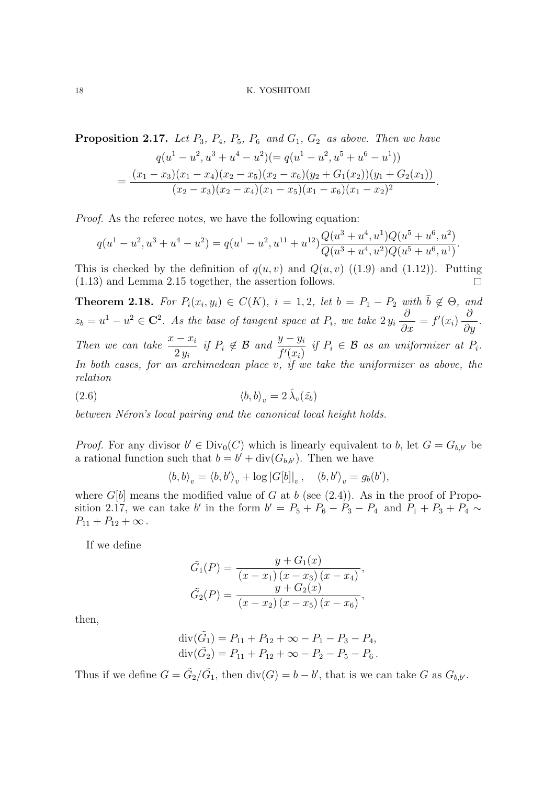**Proposition 2.17.** *Let*  $P_3$ *,*  $P_4$ *,*  $P_5$ *,*  $P_6$  *and*  $G_1$ *,*  $G_2$  *as above. Then we have*  $q(u^1 - u^2, u^3 + u^4 - u^2) (= q(u^1 - u^2, u^5 + u^6 - u^1))$  $=\frac{(x_1-x_3)(x_1-x_4)(x_2-x_5)(x_2-x_6)(y_2+G_1(x_2))(y_1+G_2(x_1))}{(y_1+y_2)(y_2+y_3)(y_3+y_4)(y_4+y_5)(y_5+y_6)(y_6+y_7)(y_7+y_8)(y_8+y_9)(y_9+y_9)(y_9+y_9)(y_9+y_9)(y_9+y_9)(y_9+y_9)(y_9+y_9)(y_9+y_9)(y_9+y_9)(y_9+y_9)(y_9+y_9)(y_9+y_9)(y_9+y_9)(y_9+y_9)(y_9+y_9)(y_9+y_9)(y_9+y$  $\frac{(x_2 - x_3)(x_2 - x_4)(x_1 - x_5)(x_1 - x_6)(x_1 - x_2)^2}{(x_2 - x_3)(x_2 - x_4)(x_1 - x_5)(x_1 - x_6)^2}$ .

*Proof.* As the referee notes, we have the following equation:

$$
q(u^{1}-u^{2}, u^{3}+u^{4}-u^{2}) = q(u^{1}-u^{2}, u^{11}+u^{12}) \frac{Q(u^{3}+u^{4}, u^{1})Q(u^{5}+u^{6}, u^{2})}{Q(u^{3}+u^{4}, u^{2})Q(u^{5}+u^{6}, u^{1})}.
$$

This is checked by the definition of  $q(u, v)$  and  $Q(u, v)$  ((1.9) and (1.12)). Putting (1.13) and Lemma 2.15 together, the assertion follows.

**Theorem 2.18.** For  $P_i(x_i, y_i) \in C(K)$ ,  $i = 1, 2$ , let  $b = P_1 - P_2$  with  $\overline{b} \notin \Theta$ , and  $z_b = u^1 - u^2 \in \mathbb{C}^2$ . As the base of tangent space at  $P_i$ , we take  $2y_i$ *∂ ∂x*  $= f'(x_i)$ *∂ ∂y . Then we can take*  $\frac{x - x_i}{2}$ 2 *y<sup>i</sup> if*  $P_i \notin \mathcal{B}$  *and*  $\frac{y - y_i}{f'(x_i)}$ *if*  $P_i \in \mathcal{B}$  *as an uniformizer at*  $P_i$ *. In both cases, for an archimedean place v, if we take the uniformizer as above, the relation*

(2.6) 
$$
\langle b, b \rangle_v = 2 \,\hat{\lambda}_v(\tilde{z}_b)
$$

between Néron's local pairing and the canonical local height holds.

*Proof.* For any divisor  $b' \in Div_0(C)$  which is linearly equivalent to *b*, let  $G = G_{b,b'}$  be a rational function such that  $b = b' + \text{div}(G_{b,b'})$ . Then we have

$$
\langle b, b \rangle_v = \langle b, b' \rangle_v + \log |G[b]|_v, \quad \langle b, b' \rangle_v = g_b(b'),
$$

where  $G[b]$  means the modified value of  $G$  at  $b$  (see  $(2.4)$ ). As in the proof of Proposition 2.17, we can take *b'* in the form  $b' = P_5 + P_6 - P_3 - P_4$  and  $P_1 + P_3 + P_4 \sim$  $P_{11} + P_{12} + \infty$ .

If we define

$$
\tilde{G}_1(P) = \frac{y + G_1(x)}{(x - x_1)(x - x_3)(x - x_4)},
$$
  
\n
$$
\tilde{G}_2(P) = \frac{y + G_2(x)}{(x - x_2)(x - x_5)(x - x_6)},
$$

then,

$$
\operatorname{div}(\tilde{G}_1) = P_{11} + P_{12} + \infty - P_1 - P_3 - P_4,
$$
  
\n
$$
\operatorname{div}(\tilde{G}_2) = P_{11} + P_{12} + \infty - P_2 - P_5 - P_6.
$$

Thus if we define  $G = \tilde{G}_2/\tilde{G}_1$ , then  $\text{div}(G) = b - b'$ , that is we can take G as  $G_{b,b'}$ .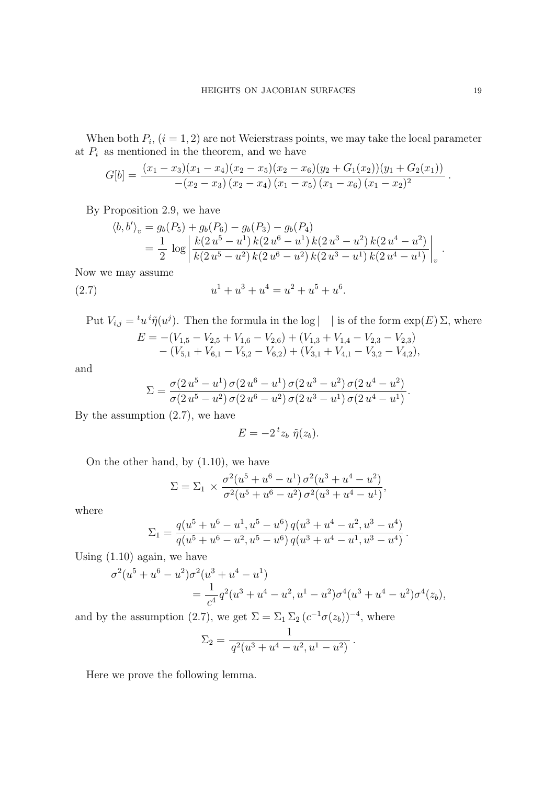When both  $P_i$ ,  $(i = 1, 2)$  are not Weierstrass points, we may take the local parameter at  $P_i$  as mentioned in the theorem, and we have

$$
G[b] = \frac{(x_1 - x_3)(x_1 - x_4)(x_2 - x_5)(x_2 - x_6)(y_2 + G_1(x_2))(y_1 + G_2(x_1))}{-(x_2 - x_3)(x_2 - x_4)(x_1 - x_5)(x_1 - x_6)(x_1 - x_2)^2}
$$

By Proposition 2.9, we have

$$
\langle b, b' \rangle_v = g_b(P_5) + g_b(P_6) - g_b(P_3) - g_b(P_4)
$$
  
= 
$$
\frac{1}{2} \log \left| \frac{k(2u^5 - u^1) k(2u^6 - u^1) k(2u^3 - u^2) k(2u^4 - u^2)}{k(2u^5 - u^2) k(2u^6 - u^2) k(2u^3 - u^1) k(2u^4 - u^1)} \right|_v.
$$

Now we may assume

(2.7) 
$$
u^{1} + u^{3} + u^{4} = u^{2} + u^{5} + u^{6}.
$$

Put  $V_{i,j} = {}^t u \, {}^i \tilde{\eta} (u^j)$ . Then the formula in the log  $| \cdot |$  is of the form  $\exp(E) \Sigma$ , where  $E = -(V_{1,5} - V_{2,5} + V_{1,6} - V_{2,6}) + (V_{1,3} + V_{1,4} - V_{2,3} - V_{2,3})$ *−* (*V*5*,*<sup>1</sup> + *V*6*,*<sup>1</sup> *− V*5*,*<sup>2</sup> *− V*6*,*2) + (*V*3*,*<sup>1</sup> + *V*4*,*<sup>1</sup> *− V*3*,*<sup>2</sup> *− V*4*,*2)*,*

and

$$
\Sigma = \frac{\sigma(2 u^5 - u^1) \sigma(2 u^6 - u^1) \sigma(2 u^3 - u^2) \sigma(2 u^4 - u^2)}{\sigma(2 u^5 - u^2) \sigma(2 u^6 - u^2) \sigma(2 u^3 - u^1) \sigma(2 u^4 - u^1)}.
$$

By the assumption  $(2.7)$ , we have

$$
E = -2 t z_b \tilde{\eta}(z_b).
$$

On the other hand, by (1.10), we have

$$
\Sigma = \Sigma_1 \times \frac{\sigma^2(u^5 + u^6 - u^1) \sigma^2(u^3 + u^4 - u^2)}{\sigma^2(u^5 + u^6 - u^2) \sigma^2(u^3 + u^4 - u^1)},
$$

where

$$
\Sigma_1 = \frac{q(u^5 + u^6 - u^1, u^5 - u^6) q(u^3 + u^4 - u^2, u^3 - u^4)}{q(u^5 + u^6 - u^2, u^5 - u^6) q(u^3 + u^4 - u^1, u^3 - u^4)}.
$$

Using (1.10) again, we have

$$
\sigma^2(u^5 + u^6 - u^2)\sigma^2(u^3 + u^4 - u^1)
$$
  
= 
$$
\frac{1}{c^4}q^2(u^3 + u^4 - u^2, u^1 - u^2)\sigma^4(u^3 + u^4 - u^2)\sigma^4(z_b),
$$

and by the assumption (2.7), we get  $\Sigma = \Sigma_1 \Sigma_2 (c^{-1} \sigma(z_b))^{-4}$ , where

$$
\Sigma_2 = \frac{1}{q^2(u^3 + u^4 - u^2, u^1 - u^2)}.
$$

Here we prove the following lemma.

*.*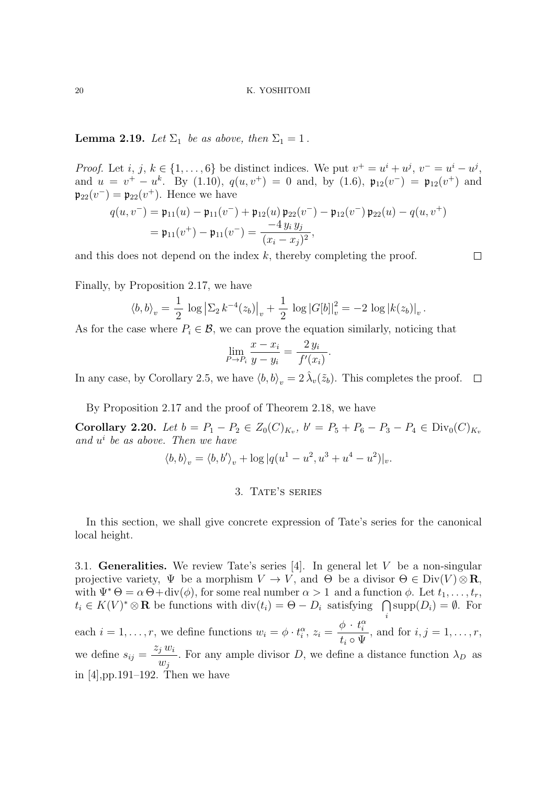**Lemma 2.19.** *Let*  $\Sigma_1$  *be as above, then*  $\Sigma_1 = 1$ *.* 

*Proof.* Let i, j,  $k \in \{1, ..., 6\}$  be distinct indices. We put  $v^+ = u^i + u^j$ ,  $v^- = u^i - u^j$ , and  $u = v^+ - u^k$ . By (1.10),  $q(u, v^+) = 0$  and, by (1.6),  $\mathfrak{p}_{12}(v^-) = \mathfrak{p}_{12}(v^+)$  and  $\mathfrak{p}_{22}(v^-) = \mathfrak{p}_{22}(v^+)$ . Hence we have

$$
q(u, v^-) = \mathfrak{p}_{11}(u) - \mathfrak{p}_{11}(v^-) + \mathfrak{p}_{12}(u) \mathfrak{p}_{22}(v^-) - \mathfrak{p}_{12}(v^-) \mathfrak{p}_{22}(u) - q(u, v^+)
$$
  
=  $\mathfrak{p}_{11}(v^+) - \mathfrak{p}_{11}(v^-) = \frac{-4 y_i y_j}{(x_i - x_j)^2}$ ,

and this does not depend on the index *k*, thereby completing the proof.

 $\Box$ 

Finally, by Proposition 2.17, we have

$$
\langle b, b \rangle_{v} = \frac{1}{2} \log \left| \Sigma_{2} k^{-4}(z_{b}) \right|_{v} + \frac{1}{2} \log |G[b]|_{v}^{2} = -2 \log |k(z_{b})|_{v}.
$$

As for the case where  $P_i \in \mathcal{B}$ , we can prove the equation similarly, noticing that

$$
\lim_{P \to P_i} \frac{x - x_i}{y - y_i} = \frac{2 y_i}{f'(x_i)}.
$$

In any case, by Corollary 2.5, we have  $\langle b, b \rangle_v = 2 \hat{\lambda}_v(\tilde{z}_b)$ . This completes the proof.  $\Box$ 

By Proposition 2.17 and the proof of Theorem 2.18, we have

**Corollary 2.20.** Let  $b = P_1 - P_2 \in Z_0(C)_{K_v}$ ,  $b' = P_5 + P_6 - P_3 - P_4 \in Div_0(C)_{K_v}$ *and u i be as above. Then we have*

$$
\langle b, b \rangle_v = \langle b, b' \rangle_v + \log |q(u^1 - u^2, u^3 + u^4 - u^2)|_v.
$$

# 3. TATE'S SERIES

In this section, we shall give concrete expression of Tate's series for the canonical local height.

3.1. **Generalities.** We review Tate's series [4]. In general let *V* be a non-singular projective variety,  $\Psi$  be a morphism  $V \to V$ , and  $\Theta$  be a divisor  $\Theta \in \text{Div}(V) \otimes \mathbf{R}$ , with  $\Psi^* \Theta = \alpha \Theta + \text{div}(\phi)$ , for some real number  $\alpha > 1$  and a function  $\phi$ . Let  $t_1, \ldots, t_r$ ,  $t_i \in K(V)^* \otimes \mathbf{R}$  be functions with div $(t_i) = \Theta - D_i$  satisfying  $\bigcap \text{supp}(D_i) = \emptyset$ . For *i* each  $i = 1, \ldots, r$ , we define functions  $w_i = \phi \cdot t_i^{\alpha}, z_i =$  $\phi \cdot t_i^{\alpha}$  $t_i \circ \Psi$ *,* and for  $i, j = 1, ..., r$ , we define  $s_{ij} =$ *z<sup>j</sup> w<sup>i</sup>*  $w_j$ *i*. For any ample divisor *D*, we define a distance function  $\lambda_D$  as in [4],pp.191–192. Then we have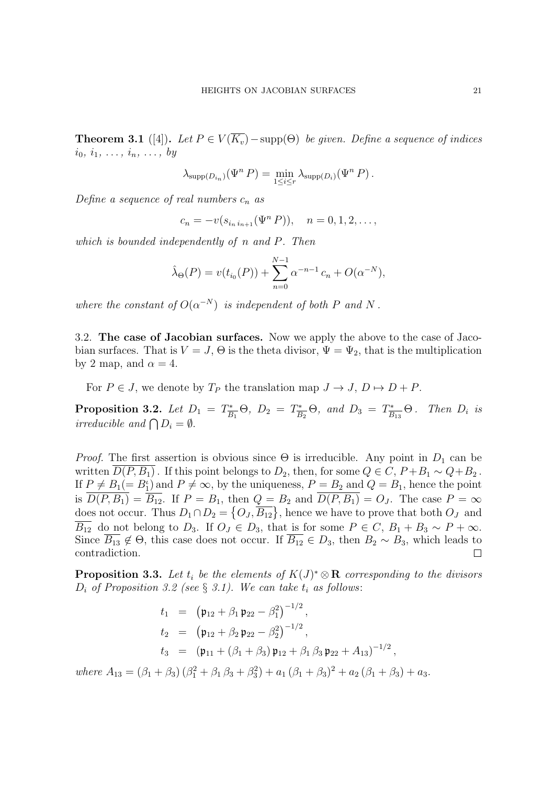**Theorem 3.1** ([4]). Let  $P \in V(\overline{K_v}) - \text{supp}(\Theta)$  be given. Define a sequence of indices  $i_0, i_1, \ldots, i_n, \ldots, b_y$ 

$$
\lambda_{\text{supp}(D_{i_n})}(\Psi^n P) = \min_{1 \leq i \leq r} \lambda_{\text{supp}(D_i)}(\Psi^n P).
$$

*Define a sequence of real numbers c<sup>n</sup> as*

 $c_n = -v(s_{i_n i_{n+1}}(\Psi^n P))$ ,  $n = 0, 1, 2, \ldots$ ,

*which is bounded independently of n and P. Then*

$$
\hat{\lambda}_{\Theta}(P) = v(t_{i_0}(P)) + \sum_{n=0}^{N-1} \alpha^{-n-1} c_n + O(\alpha^{-N}),
$$

*where the constant of*  $O(\alpha^{-N})$  *is independent of both P and N*.

3.2. **The case of Jacobian surfaces.** Now we apply the above to the case of Jacobian surfaces. That is  $V = J$ ,  $\Theta$  is the theta divisor,  $\Psi = \Psi_2$ , that is the multiplication by 2 map, and  $\alpha = 4$ .

For  $P \in J$ , we denote by  $T_P$  the translation map  $J \to J$ ,  $D \mapsto D + P$ .

**Proposition 3.2.** Let  $D_1 = T_{\overline{B_1}}^* \Theta$ ,  $D_2 = T_{\overline{B_2}}^* \Theta$ , and  $D_3 = T_{\overline{B_{13}}}^* \Theta$ . Then  $D_i$  is *irreducible and*  $\bigcap D_i = \emptyset$ *.* 

*Proof.* The first assertion is obvious since  $\Theta$  is irreducible. Any point in  $D_1$  can be written  $D(P, B_1)$ . If this point belongs to  $D_2$ , then, for some  $Q \in C$ ,  $P + B_1 \sim Q + B_2$ . If  $P \neq B_1(= B_1^{\iota})$  and  $P \neq \infty$ , by the uniqueness,  $P = B_2$  and  $Q = B_1$ , hence the point is  $\overline{D(P, B_1)} = \overline{B_{12}}$ . If  $P = B_1$ , then  $Q = B_2$  and  $\overline{D(P, B_1)} = O_J$ . The case  $P = \infty$ does not occur. Thus  $D_1 \cap D_2 = \{O_J, \overline{B_{12}}\}$ , hence we have to prove that both  $O_J$  and  $\overline{B_{12}}$  do not belong to *D*<sub>3</sub>. If  $O_J \in D_3$ , that is for some  $P \in C$ ,  $B_1 + B_3 \sim P + \infty$ . Since  $\overline{B_{13}} \notin \Theta$ , this case does not occur. If  $\overline{B_{12}} \in D_3$ , then  $B_2 \sim B_3$ , which leads to contradiction.  $\Box$ 

**Proposition 3.3.** Let  $t_i$  be the elements of  $K(J)^* \otimes \mathbf{R}$  corresponding to the divisors *D<sub>i</sub> of Proposition 3.2 (see § 3.1). We can take*  $t_i$  *<i>as follows*:

$$
t_1 = (\mathfrak{p}_{12} + \beta_1 \mathfrak{p}_{22} - \beta_1^2)^{-1/2},
$$
  
\n
$$
t_2 = (\mathfrak{p}_{12} + \beta_2 \mathfrak{p}_{22} - \beta_2^2)^{-1/2},
$$
  
\n
$$
t_3 = (\mathfrak{p}_{11} + (\beta_1 + \beta_3) \mathfrak{p}_{12} + \beta_1 \beta_3 \mathfrak{p}_{22} + A_{13})^{-1/2},
$$

 $where A_{13} = (\beta_1 + \beta_3) (\beta_1^2 + \beta_1 \beta_3 + \beta_3^2) + a_1 (\beta_1 + \beta_3)^2 + a_2 (\beta_1 + \beta_3) + a_3.$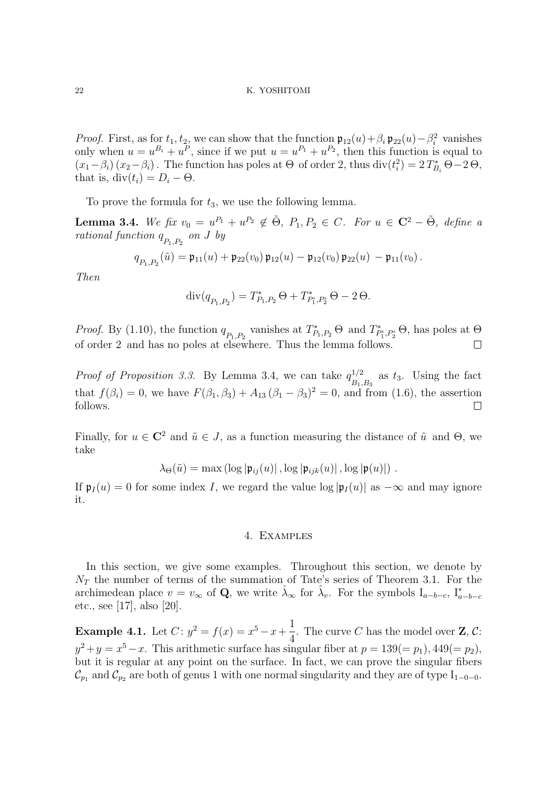*Proof.* First, as for  $t_1, t_2$ , we can show that the function  $\mathfrak{p}_{12}(u) + \beta_i \mathfrak{p}_{22}(u) - \beta_i^2$  vanishes only when  $u = u^{B_i} + u^P$ , since if we put  $u = u^{P_1} + u^{P_2}$ , then this function is equal to  $(x_1 - \beta_i)(x_2 - \beta_i)$ . The function has poles at  $\Theta$  of order 2, thus  $\text{div}(t_i^2) = 2 T_{B_i}^* \Theta - 2 \Theta$ , that is,  $div(t_i) = D_i - \Theta$ .

To prove the formula for *t*3, we use the following lemma.

**Lemma 3.4.** We fix  $v_0 = u^{P_1} + u^{P_2} \notin \tilde{\Theta}$ ,  $P_1, P_2 \in C$ . For  $u \in \mathbb{C}^2 - \tilde{\Theta}$ , define a *rational function*  $q_{P_1,P_2}$  *on J by* 

$$
q_{P_1,P_2}(\tilde{u}) = \mathfrak{p}_{11}(u) + \mathfrak{p}_{22}(v_0) \mathfrak{p}_{12}(u) - \mathfrak{p}_{12}(v_0) \mathfrak{p}_{22}(u) - \mathfrak{p}_{11}(v_0).
$$

*Then*

$$
\mathrm{div}(q_{P_1,P_2}) = T_{P_1,P_2}^* \Theta + T_{P_1',P_2'}^* \Theta - 2 \Theta.
$$

*Proof.* By (1.10), the function  $q_{P_1,P_2}$  vanishes at  $T^*_{P_1,P_2} \Theta$  and  $T^*_{P'_1,P'_2} \Theta$ , has poles at  $\Theta$ of order 2 and has no poles at elsewhere. Thus the lemma follows.  $\Box$ 

*Proof of Proposition 3.3.* By Lemma 3.4, we can take  $q_{\perp}^{1/2}$  $\frac{B_1}{B_1,B_3}$  as  $t_3$ . Using the fact that  $f(\beta_i) = 0$ , we have  $F(\beta_1, \beta_3) + A_{13} (\beta_1 - \beta_3)^2 = 0$ , and from (1.6), the assertion follows.  $\Box$ 

Finally, for  $u \in \mathbb{C}^2$  and  $\tilde{u} \in J$ , as a function measuring the distance of  $\tilde{u}$  and  $\Theta$ , we take

$$
\lambda_{\Theta}(\tilde{u}) = \max \left( \log |\mathfrak{p}_{ij}(u)| \right), \log |\mathfrak{p}_{ijk}(u)| \right), \log |\mathfrak{p}(u)|) .
$$

If  $\mathfrak{p}_I(u) = 0$  for some index *I*, we regard the value  $\log |\mathfrak{p}_I(u)|$  as  $-\infty$  and may ignore it.

### 4. Examples

In this section, we give some examples. Throughout this section, we denote by  $N_T$  the number of terms of the summation of Tate's series of Theorem 3.1. For the archimedean place  $v = v_{\infty}$  of **Q**, we write  $\hat{\lambda}_{\infty}$  for  $\hat{\lambda}_{v}$ . For the symbols  $I_{a-b-c}$ ,  $I_{a-b-c}^{*}$ etc., see [17], also [20].

**Example 4.1.** Let  $C: y^2 = f(x) = x^5 - x + \frac{1}{4}$  $\frac{1}{4}$ . The curve *C* has the model over **Z**, *C*:  $y^2 + y = x^5 - x$ . This arithmetic surface has singular fiber at  $p = 139 = (p_1), 449 = (p_2),$ but it is regular at any point on the surface. In fact, we can prove the singular fibers  $\mathcal{C}_{p_1}$  and  $\mathcal{C}_{p_2}$  are both of genus 1 with one normal singularity and they are of type I<sub>1</sub><sup>*−*0</sub>*−*<sub>0</sub>.</sup>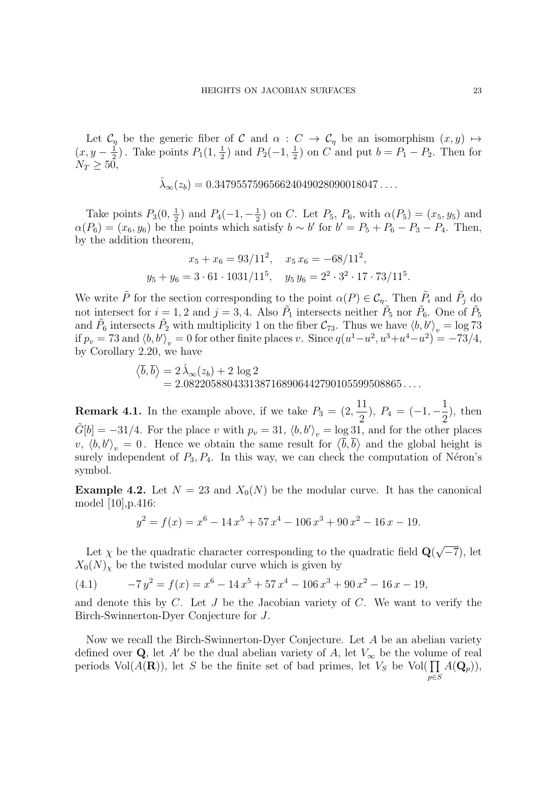Let  $\mathcal{C}_\eta$  be the generic fiber of  $\mathcal{C}$  and  $\alpha : C \to \mathcal{C}_\eta$  be an isomorphism  $(x, y) \mapsto$  $(x, y - \frac{1}{2})$  $\frac{1}{2}$ ). Take points  $P_1(1, \frac{1}{2})$  $\frac{1}{2}$ ) and  $P_2(-1, \frac{1}{2})$  $\frac{1}{2}$ ) on *C* and put  $b = P_1 - P_2$ . Then for  $N_T \geq 50$ ,

$$
\hat{\lambda}_{\infty}(z_b) = 0.347955759656624049028090018047\dots
$$

Take points  $P_3(0, \frac{1}{2})$  $\frac{1}{2}$ ) and  $P_4(-1, -\frac{1}{2})$  $\frac{1}{2}$ ) on *C*. Let  $P_5$ ,  $P_6$ , with  $\alpha(P_5) = (x_5, y_5)$  and  $\alpha(P_6) = (x_6, y_6)$  be the points which satisfy  $b \sim b'$  for  $b' = P_5 + P_6 - P_3 - P_4$ . Then, by the addition theorem,

$$
x_5 + x_6 = 93/11^2
$$
,  $x_5 x_6 = -68/11^2$ ,  
\n $y_5 + y_6 = 3 \cdot 61 \cdot 1031/11^5$ ,  $y_5 y_6 = 2^2 \cdot 3^2 \cdot 17 \cdot 73/11^5$ .

We write  $\tilde{P}$  for the section corresponding to the point  $\alpha(P) \in \mathcal{C}_{\eta}$ . Then  $\tilde{P}_i$  and  $\tilde{P}_j$  do not intersect for  $i = 1, 2$  and  $j = 3, 4$ . Also  $\tilde{P}_1$  intersects neither  $\tilde{P}_5$  nor  $\tilde{P}_6$ . One of  $\tilde{P}_5$ and  $\tilde{P}_6$  intersects  $\tilde{P}_2$  with multiplicity 1 on the fiber  $C_{73}$ . Thus we have  $\langle b, b' \rangle_v = \log 73$ if  $p_v = 73$  and  $\langle b, b' \rangle_v = 0$  for other finite places v. Since  $q(u^1 - u^2, u^3 + u^4 - u^2) = -73/4$ , by Corollary 2.20, we have

$$
\langle \overline{b}, \overline{b} \rangle = 2 \hat{\lambda}_{\infty}(z_b) + 2 \log 2 = 2.0822058804331387168906442790105599508865...
$$

**Remark 4.1.** In the example above, if we take  $P_3 = (2, 1)$ 11  $\frac{1}{2}$ ),  $P_4 = (-1, -$ 1 2 ), then  $\tilde{G}[b] = -31/4$ . For the place *v* with  $p_v = 31$ ,  $\langle b, b' \rangle_v = \log 31$ , and for the other places *v*,  $\langle b, b' \rangle_v = 0$ . Hence we obtain the same result for  $\langle \bar{b}, \bar{b} \rangle$  and the global height is surely independent of  $P_3, P_4$ . In this way, we can check the computation of Néron's symbol.

**Example 4.2.** Let  $N = 23$  and  $X_0(N)$  be the modular curve. It has the canonical model [10],p.416:

$$
y^{2} = f(x) = x^{6} - 14x^{5} + 57x^{4} - 106x^{3} + 90x^{2} - 16x - 19.
$$

Let  $\chi$  be the quadratic character corresponding to the quadratic field  $\mathbf{Q}$ ( *√ −*7), let  $X_0(N)_\chi$  be the twisted modular curve which is given by

(4.1) 
$$
-7y^2 = f(x) = x^6 - 14x^5 + 57x^4 - 106x^3 + 90x^2 - 16x - 19,
$$

and denote this by *C*. Let *J* be the Jacobian variety of *C*. We want to verify the Birch-Swinnerton-Dyer Conjecture for *J*.

Now we recall the Birch-Swinnerton-Dyer Conjecture. Let *A* be an abelian variety defined over **Q**, let *A'* be the dual abelian variety of *A*, let  $V_\infty$  be the volume of real periods Vol( $A(\mathbf{R})$ ), let *S* be the finite set of bad primes, let  $V_S$  be Vol( $\prod A(\mathbf{Q}_p)$ ), *p∈S*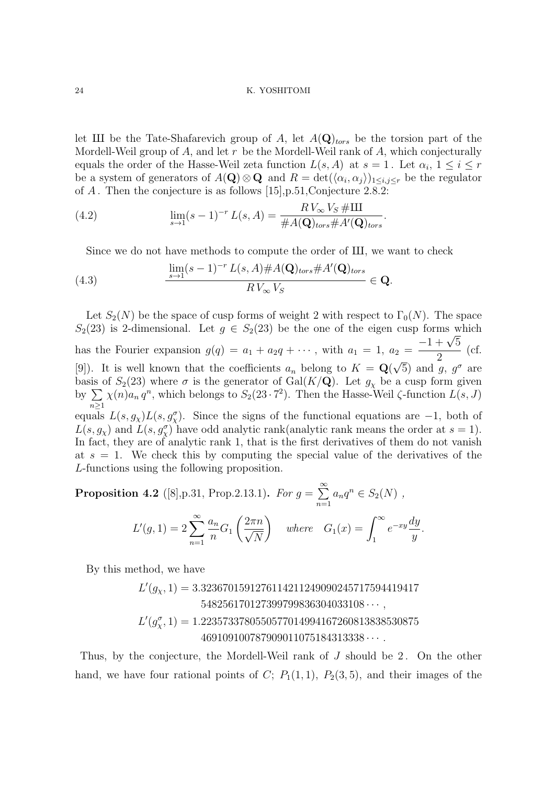let III be the Tate-Shafarevich group of *A*, let  $A(\mathbf{Q})_{tors}$  be the torsion part of the Mordell-Weil group of *A*, and let *r* be the Mordell-Weil rank of *A*, which conjecturally equals the order of the Hasse-Weil zeta function  $L(s, A)$  at  $s = 1$ . Let  $\alpha_i, 1 \le i \le r$ be a system of generators of  $A(\mathbf{Q}) \otimes \mathbf{Q}$  and  $R = \det(\langle \alpha_i, \alpha_j \rangle)_{1 \leq i,j \leq r}$  be the regulator of *A* . Then the conjecture is as follows [15],p.51,Conjecture 2.8.2:

(4.2) 
$$
\lim_{s \to 1} (s-1)^{-r} L(s, A) = \frac{R V_{\infty} V_S \# III}{\# A(\mathbf{Q})_{tors} \# A'(\mathbf{Q})_{tors}}.
$$

Since we do not have methods to compute the order of III, we want to check

(4.3) 
$$
\frac{\lim_{s \to 1} (s-1)^{-r} L(s, A) \# A(\mathbf{Q})_{tors} \# A'(\mathbf{Q})_{tors}}{R V_{\infty} V_S} \in \mathbf{Q}.
$$

Let  $S_2(N)$  be the space of cusp forms of weight 2 with respect to  $\Gamma_0(N)$ . The space  $S_2(23)$  is 2-dimensional. Let  $g \in S_2(23)$  be the one of the eigen cusp forms which has the Fourier expansion  $g(q) = a_1 + a_2q + \cdots$ , with  $a_1 = 1$ ,  $a_2 =$  $-1 + \sqrt{5}$ 2 (cf. [9]). It is well known that the coefficients  $a_n$  belong to  $K = \mathbf{Q}(\sqrt{5})$  and  $g, g^{\sigma}$  are *√* basis of  $S_2(23)$  where  $\sigma$  is the generator of Gal( $K/\mathbf{Q}$ ). Let  $g_\chi$  be a cusp form given by ∑ *n≥*1  $\chi(n)a_n q^n$ , which belongs to  $S_2(23 \cdot 7^2)$ . Then the Hasse-Weil  $\zeta$ -function  $L(s, J)$ equals  $L(s, g_\chi)L(s, g_\chi^{\sigma})$ . Since the signs of the functional equations are  $-1$ , both of  $L(s, g_x)$  and  $L(s, g_x^{\sigma})$  have odd analytic rank(analytic rank means the order at  $s = 1$ ). In fact, they are of analytic rank 1, that is the first derivatives of them do not vanish at  $s = 1$ . We check this by computing the special value of the derivatives of the *L*-functions using the following proposition.

**Proposition 4.2** ([8],p.31, Prop.2.13.1). For 
$$
g = \sum_{n=1}^{\infty} a_n q^n \in S_2(N)
$$
,  

$$
L'(g, 1) = 2 \sum_{n=1}^{\infty} \frac{a_n}{n} G_1 \left( \frac{2\pi n}{\sqrt{N}} \right) \quad \text{where} \quad G_1(x) = \int_1^{\infty} e^{-xy} \frac{dy}{y}.
$$

By this method, we have

 $L'(g_\chi,1) = 3.3236701591276114211249090245717594419417$  $548256170127399799836304033108 \cdots$ ,  $L'(g_{\chi}^{\sigma}, 1) = 1.2235733780550577014994167260813838530875$ 469109100787909011075184313338 *· · · .*

Thus, by the conjecture, the Mordell-Weil rank of *J* should be 2. On the other hand, we have four rational points of *C*;  $P_1(1,1)$ ,  $P_2(3,5)$ , and their images of the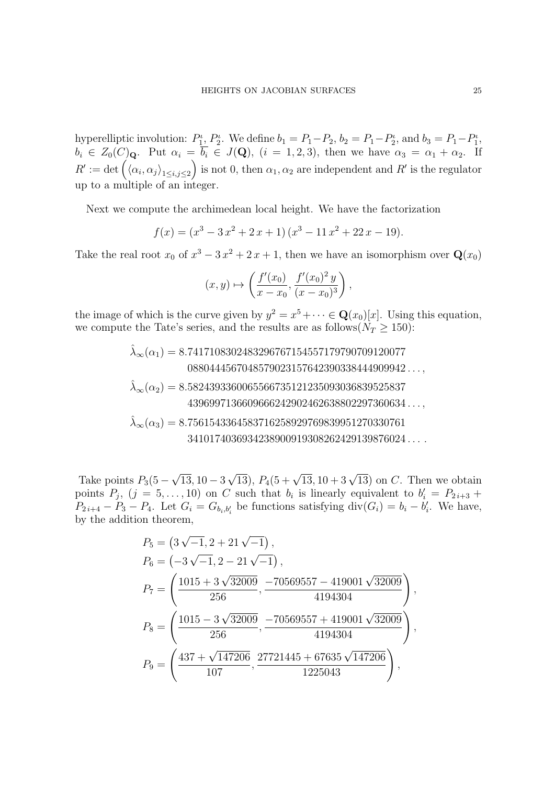hyperelliptic involution:  $P_1^{\iota}$ ,  $P_2^{\iota}$ . We define  $b_1 = P_1 - P_2$ ,  $b_2 = P_1 - P_2^{\iota}$ , and  $b_3 = P_1 - P_1^{\iota}$ ,  $b_i \in Z_0(C)_{\mathbf{Q}}$ . Put  $\alpha_i = b_i \in J(\mathbf{Q})$ ,  $(i = 1, 2, 3)$ , then we have  $\alpha_3 = \alpha_1 + \alpha_2$ . If  $R' := \det \left( \langle \alpha_i, \alpha_j \rangle_{1 \leq i, j \leq 2} \right)$ ) is not 0, then  $\alpha_1, \alpha_2$  are independent and  $R'$  is the regulator up to a multiple of an integer.

Next we compute the archimedean local height. We have the factorization

$$
f(x) = (x3 - 3x2 + 2x + 1) (x3 - 11x2 + 22x - 19).
$$

Take the real root  $x_0$  of  $x^3 - 3x^2 + 2x + 1$ , then we have an isomorphism over  $\mathbf{Q}(x_0)$ 

$$
(x, y) \mapsto \left(\frac{f'(x_0)}{x - x_0}, \frac{f'(x_0)^2 y}{(x - x_0)^3}\right),
$$

the image of which is the curve given by  $y^2 = x^5 + \cdots \in \mathbf{Q}(x_0)[x]$ . Using this equation, we compute the Tate's series, and the results are as follows( $N_T \ge 150$ ):

$$
\hat{\lambda}_{\infty}(\alpha_1) = 8.7417108302483296767154557179790709120077
$$
\n
$$
0880444567048579023157642390338444909942\ldots,
$$
\n
$$
\hat{\lambda}_{\infty}(\alpha_2) = 8.5824393360065566735121235093036839525837
$$
\n
$$
4396997136609666242902462638802297360634\ldots,
$$
\n
$$
\hat{\lambda}_{\infty}(\alpha_3) = 8.7561543364583716258929769839951270330761
$$
\n
$$
3410174036934238900919308262429139876024\ldots.
$$

Take points *P*3(5 *− √* 13*,* 10 *−* 3 *√*  $(13), P_4(5 +$  $\sqrt{13}$ , 10 + 3  $\sqrt{13}$ ) on *C*. Then we obtain points  $P_j$ ,  $(j = 5, \ldots, 10)$  on *C* such that  $b_i$  is linearly equivalent to  $b'_i = P_{2i+3}$  +  $P_{2i+4} - P_3 - P_4$ . Let  $G_i = G_{b_i, b'_i}$  be functions satisfying  $\text{div}(G_i) = b_i - b'_i$ . We have, by the addition theorem,

$$
P_5 = (3\sqrt{-1}, 2 + 21\sqrt{-1}),
$$
  
\n
$$
P_6 = (-3\sqrt{-1}, 2 - 21\sqrt{-1}),
$$
  
\n
$$
P_7 = \left(\frac{1015 + 3\sqrt{32009}}{256}, \frac{-70569557 - 419001\sqrt{32009}}{4194304}\right)
$$
  
\n
$$
P_8 = \left(\frac{1015 - 3\sqrt{32009}}{256}, \frac{-70569557 + 419001\sqrt{32009}}{4194304}\right)
$$
  
\n
$$
P_9 = \left(\frac{437 + \sqrt{147206}}{107}, \frac{27721445 + 67635\sqrt{147206}}{1225043}\right),
$$

*,*

*,*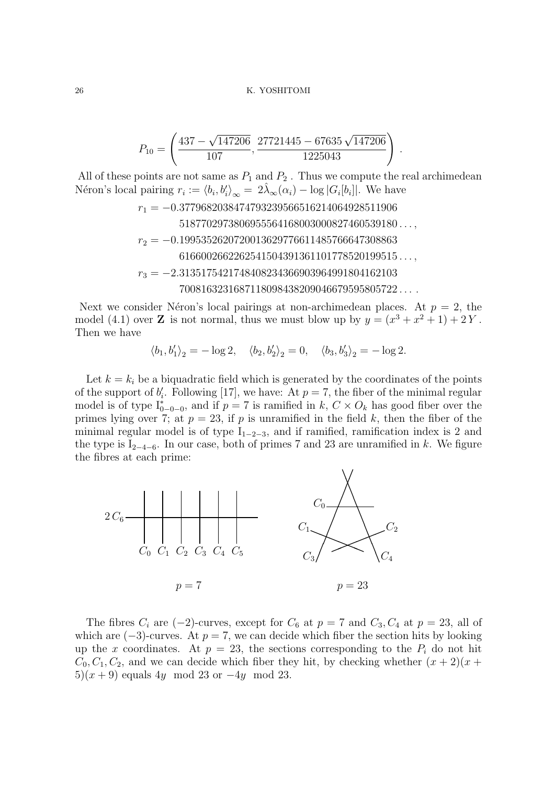$$
P_{10} = \left(\frac{437 - \sqrt{147206}}{107}, \frac{27721445 - 67635\sqrt{147206}}{1225043}\right)
$$

All of these points are not same as  $P_1$  and  $P_2$ . Thus we compute the real archimedean Néron's local pairing  $r_i := \langle b_i, b_i' \rangle_{\infty} = 2\hat{\lambda}_{\infty}(\alpha_i) - \log|G_i[b_i]|$ . We have

*.*

*r*<sup>1</sup> = *−*0*.*3779682038474793239566516214064928511906 5187702973806955564168003000827460539180 *. . . , r*<sup>2</sup> = *−*0*.*1995352620720013629776611485766647308863 6166002662262541504391361101778520199515 *. . . , r*<sup>3</sup> = *−*2*.*3135175421748408234366903964991804162103 7008163231687118098438209046679595805722 *. . . .*

Next we consider Néron's local pairings at non-archimedean places. At  $p = 2$ , the model (4.1) over **Z** is not normal, thus we must blow up by  $y = (x^3 + x^2 + 1) + 2Y$ . Then we have

 $\langle b_1, b'_1 \rangle_2 = -\log 2, \quad \langle b_2, b'_2 \rangle_2 = 0, \quad \langle b_3, b'_3 \rangle_2 = -\log 2.$ 

Let  $k = k_i$  be a biquadratic field which is generated by the coordinates of the points of the support of  $b'_{i}$ . Following [17], we have: At  $p = 7$ , the fiber of the minimal regular model is of type  $I_{0-0-0}^*$ , and if  $p = 7$  is ramified in  $k, C \times O_k$  has good fiber over the primes lying over 7; at  $p = 23$ , if  $p$  is unramified in the field  $k$ , then the fiber of the minimal regular model is of type  $I_{1-2-3}$ , and if ramified, ramification index is 2 and the type is I<sup>2</sup>*−*4*−*<sup>6</sup>. In our case, both of primes 7 and 23 are unramified in *k*. We figure the fibres at each prime:



The fibres  $C_i$  are (-2)-curves, except for  $C_6$  at  $p = 7$  and  $C_3$ ,  $C_4$  at  $p = 23$ , all of which are  $(-3)$ -curves. At  $p = 7$ , we can decide which fiber the section hits by looking up the *x* coordinates. At  $p = 23$ , the sections corresponding to the  $P_i$  do not hit  $C_0, C_1, C_2$ , and we can decide which fiber they hit, by checking whether  $(x + 2)(x + 1)$ 5)(*x* + 9) equals 4*y* mod 23 or *−*4*y* mod 23.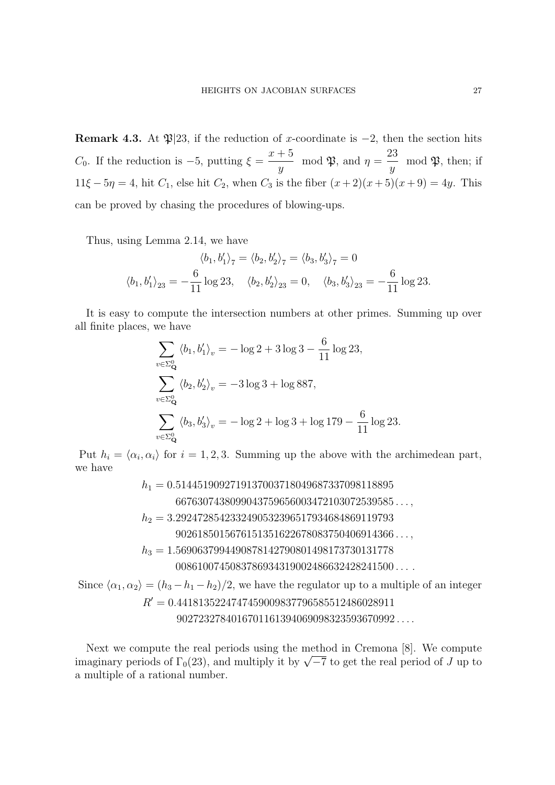**Remark 4.3.** At  $\mathfrak{P}|23$ , if the reduction of *x*-coordinate is  $-2$ , then the section hits *C*0. If the reduction is *−*5, putting *ξ* =  $x + 5$  $\frac{y}{y}$  mod  $\mathfrak{P}$ , and  $\eta =$ 23  $\frac{y}{y}$  mod  $\mathfrak{P}$ , then; if 11 $\xi$  − 5*η* = 4, hit *C*<sub>1</sub>, else hit *C*<sub>2</sub>, when *C*<sub>3</sub> is the fiber  $(x + 2)(x + 5)(x + 9) = 4y$ . This can be proved by chasing the procedures of blowing-ups.

Thus, using Lemma 2.14, we have

$$
\langle b_1, b'_1 \rangle_7 = \langle b_2, b'_2 \rangle_7 = \langle b_3, b'_3 \rangle_7 = 0
$$
  

$$
\langle b_1, b'_1 \rangle_{23} = -\frac{6}{11} \log 23, \quad \langle b_2, b'_2 \rangle_{23} = 0, \quad \langle b_3, b'_3 \rangle_{23} = -\frac{6}{11} \log 23.
$$

It is easy to compute the intersection numbers at other primes. Summing up over all finite places, we have

$$
\sum_{v \in \Sigma_Q^0} \langle b_1, b_1' \rangle_v = -\log 2 + 3 \log 3 - \frac{6}{11} \log 23,
$$
  

$$
\sum_{v \in \Sigma_Q^0} \langle b_2, b_2' \rangle_v = -3 \log 3 + \log 887,
$$
  

$$
\sum_{v \in \Sigma_Q^0} \langle b_3, b_3' \rangle_v = -\log 2 + \log 3 + \log 179 - \frac{6}{11} \log 23.
$$

Put  $h_i = \langle \alpha_i, \alpha_i \rangle$  for  $i = 1, 2, 3$ . Summing up the above with the archimedean part, we have

> *h*<sup>1</sup> = 0*.*5144519092719137003718049687337098118895 6676307438099043759656003472103072539585 *. . . , h*<sup>2</sup> = 3*.*2924728542332490532396517934684869119793 9026185015676151351622678083750406914366 *. . . , h*<sup>3</sup> = 1*.*5690637994490878142790801498173730131778 0086100745083786934319002486632428241500 *. . . .*

Since  $\langle \alpha_1, \alpha_2 \rangle = (h_3 - h_1 - h_2)/2$ , we have the regulator up to a multiple of an integer *R ′* = 0*.*4418135224747459009837796585512486028911 9027232784016701161394069098323593670992 *. . . .*

Next we compute the real periods using the method in Cremona [8]. We compute imaginary periods of  $\Gamma_0(23)$ , and multiply it by  $\sqrt{-7}$  to get the real period of *J* up to a multiple of a rational number.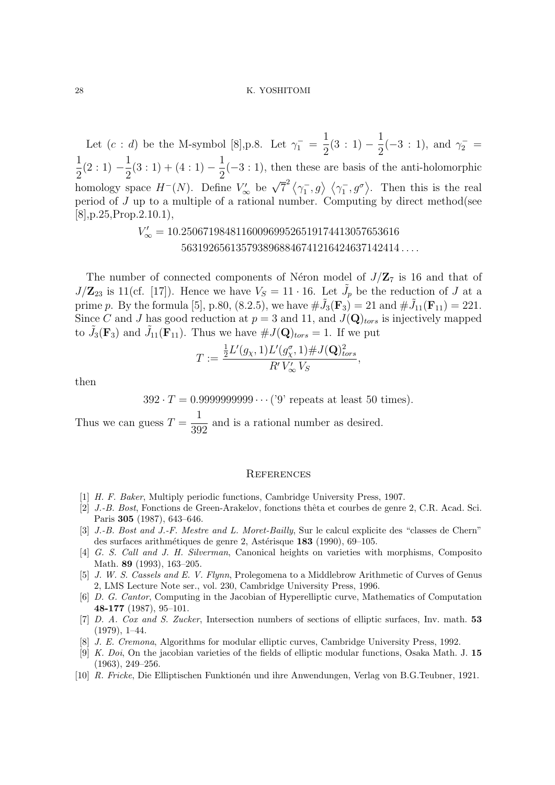Let  $(c : d)$  be the M-symbol [8], p.8. Let  $\gamma_1^-$  = 1  $rac{1}{2}(3:1)$  − 1  $\frac{1}{2}(-3:1)$ , and  $\gamma_2^-$  = 1  $rac{1}{2}(2:1)$  − 1  $\frac{1}{2}(3:1) + (4:1) -$ 1  $\frac{1}{2}(-3:1)$ , then these are basis of the anti-holomorphic homology space  $H^{-}(N)$ . Define  $V'_{\infty}$  be  $\sqrt{7}^{2} \langle \gamma_{1}^{-}, g \rangle \langle \gamma_{1}^{-}, g^{\sigma} \rangle$ . Then this is the real period of *J* up to a multiple of a rational number. Computing by direct method(see  $[8]$ , p.25, Prop. 2.10.1),

> *V ′ <sup>∞</sup>* = 10*.*2506719848116009699526519174413057653616 5631926561357938968846741216424637142414 *. . . .*

The number of connected components of Néron model of  $J/Z<sub>7</sub>$  is 16 and that of  $J/\mathbb{Z}_{23}$  is 11(cf. [17]). Hence we have  $V_S = 11 \cdot 16$ . Let  $\tilde{J}_p$  be the reduction of *J* at a prime *p*. By the formula [5], p.80, (8.2.5), we have  $\#\tilde{J}_3(\mathbf{F}_3) = 21$  and  $\#\tilde{J}_{11}(\mathbf{F}_{11}) = 221$ . Since *C* and *J* has good reduction at  $p = 3$  and 11, and  $J(\mathbf{Q})_{tors}$  is injectively mapped to  $\tilde{J}_3(\mathbf{F}_3)$  and  $\tilde{J}_{11}(\mathbf{F}_{11})$ . Thus we have  $\#J(\mathbf{Q})_{tors} = 1$ . If we put

$$
T := \frac{\frac{1}{2}L'(g_{\chi}, 1)L'(g_{\chi}^{\sigma}, 1) \# J(\mathbf{Q})_{tors}^2}{R' V_{\infty}' V_S},
$$

then

 $392 \cdot T = 0.9999999999 \cdots$  ('9' repeats at least 50 times).

Thus we can guess  $T =$ 1 392 and is a rational number as desired.

## **REFERENCES**

- [1] *H. F. Baker*, Multiply periodic functions, Cambridge University Press, 1907.
- [2] *J.-B. Bost*, Fonctions de Green-Arakelov, fonctions thêta et courbes de genre 2, C.R. Acad. Sci. Paris **305** (1987), 643–646.
- [3] *J.-B. Bost and J.-F. Mestre and L. Moret-Bailly*, Sur le calcul explicite des "classes de Chern" des surfaces arithmétiques de genre 2, Astérisque **183** (1990), 69–105.
- [4] *G. S. Call and J. H. Silverman*, Canonical heights on varieties with morphisms, Composito Math. **89** (1993), 163–205.
- [5] *J. W. S. Cassels and E. V. Flynn*, Prolegomena to a Middlebrow Arithmetic of Curves of Genus 2, LMS Lecture Note ser., vol. 230, Cambridge University Press, 1996.
- [6] *D. G. Cantor*, Computing in the Jacobian of Hyperelliptic curve, Mathematics of Computation **48-177** (1987), 95–101.
- [7] *D. A. Cox and S. Zucker*, Intersection numbers of sections of elliptic surfaces, Inv. math. **53** (1979), 1–44.
- [8] *J. E. Cremona*, Algorithms for modular elliptic curves, Cambridge University Press, 1992.
- [9] *K. Doi*, On the jacobian varieties of the fields of elliptic modular functions, Osaka Math. J. **15** (1963), 249–256.
- [10] *R. Fricke*, Die Elliptischen Funktion´en und ihre Anwendungen, Verlag von B.G.Teubner, 1921.